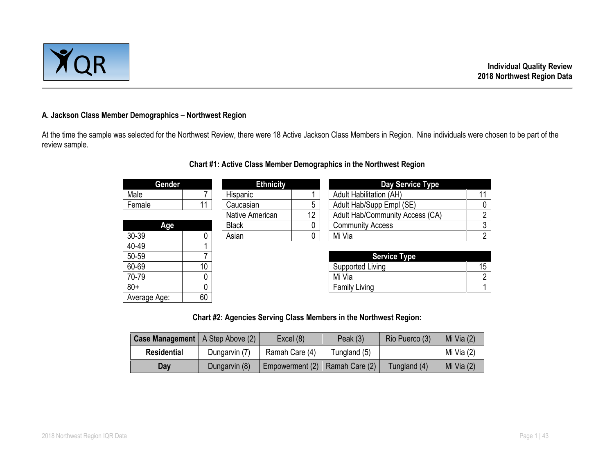

### **A. Jackson Class Member Demographics – Northwest Region**

At the time the sample was selected for the Northwest Review, there were 18 Active Jackson Class Members in Region. Nine individuals were chosen to be part of the review sample.

| Gender       |                 | <b>Ethnicity</b> |                      | Day Service Type                     |  |
|--------------|-----------------|------------------|----------------------|--------------------------------------|--|
| Male         |                 | Hispanic         |                      | <b>Adult Habilitation (AH)</b><br>11 |  |
| Female       | 11              | Caucasian        | 5                    | Adult Hab/Supp Empl (SE)<br>0        |  |
|              |                 | Native American  | 12                   | Adult Hab/Community Access (CA)<br>າ |  |
| Age          |                 | <b>Black</b>     |                      | 3<br><b>Community Access</b>         |  |
| 30-39        |                 | Asian            | 0                    | ŋ<br>Mi Via                          |  |
| 40-49        |                 |                  |                      |                                      |  |
| 50-59        |                 |                  |                      | <b>Service Type</b>                  |  |
| 60-69        | 10 <sup>°</sup> |                  |                      | 15<br>Supported Living               |  |
| 70-79        |                 |                  |                      | ∩<br>Mi Via                          |  |
| $80+$        |                 |                  | <b>Family Living</b> |                                      |  |
| Average Age: | 60              |                  |                      |                                      |  |

## **Chart #1: Active Class Member Demographics in the Northwest Region**

**Chart #2: Agencies Serving Class Members in the Northwest Region:**

| <b>Case Management</b>   A Step Above (2) |               | Excel(8)        | Peak $(3)$     | Rio Puerco (3) | Mi Via $(2)$ |
|-------------------------------------------|---------------|-----------------|----------------|----------------|--------------|
| <b>Residential</b>                        | Dungarvin (7) | Ramah Care (4)  | Tungland (5)   |                | Mi Via (2)   |
| Dav                                       | Dungarvin (8) | Empowerment (2) | Ramah Care (2) | Tungland (4)   | Mi Via $(2)$ |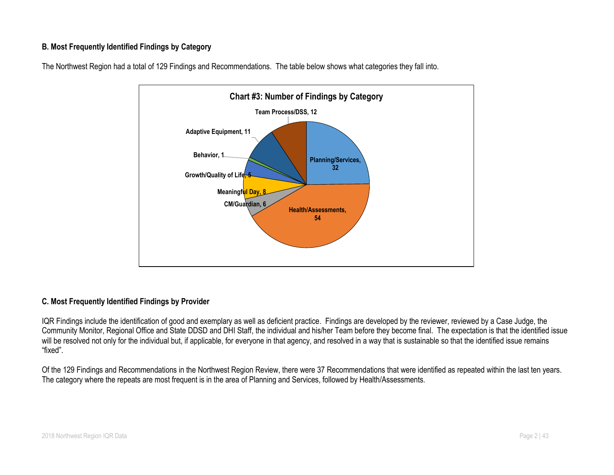## **B. Most Frequently Identified Findings by Category**



The Northwest Region had a total of 129 Findings and Recommendations. The table below shows what categories they fall into.

## **C. Most Frequently Identified Findings by Provider**

IQR Findings include the identification of good and exemplary as well as deficient practice. Findings are developed by the reviewer, reviewed by a Case Judge, the Community Monitor, Regional Office and State DDSD and DHI Staff, the individual and his/her Team before they become final. The expectation is that the identified issue will be resolved not only for the individual but, if applicable, for everyone in that agency, and resolved in a way that is sustainable so that the identified issue remains "fixed".

Of the 129 Findings and Recommendations in the Northwest Region Review, there were 37 Recommendations that were identified as repeated within the last ten years. The category where the repeats are most frequent is in the area of Planning and Services, followed by Health/Assessments.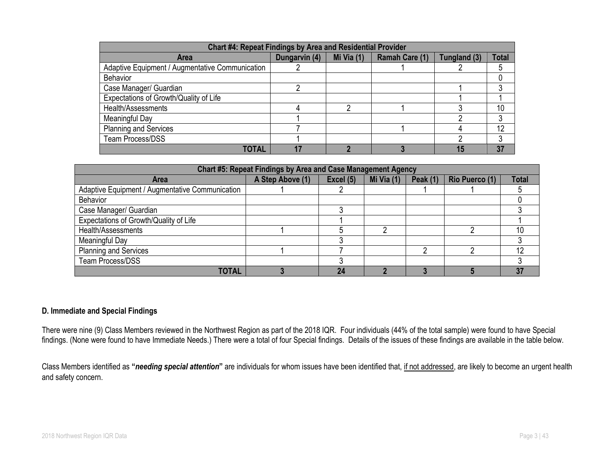| <b>Chart #4: Repeat Findings by Area and Residential Provider</b> |               |            |                |              |              |  |  |
|-------------------------------------------------------------------|---------------|------------|----------------|--------------|--------------|--|--|
| <b>Area</b>                                                       | Dungarvin (4) | Mi Via (1) | Ramah Care (1) | Tungland (3) | <b>Total</b> |  |  |
| Adaptive Equipment / Augmentative Communication                   |               |            |                |              |              |  |  |
| <b>Behavior</b>                                                   |               |            |                |              |              |  |  |
| Case Manager/ Guardian                                            |               |            |                |              |              |  |  |
| Expectations of Growth/Quality of Life                            |               |            |                |              |              |  |  |
| Health/Assessments                                                |               |            |                |              | 10           |  |  |
| Meaningful Day                                                    |               |            |                |              |              |  |  |
| <b>Planning and Services</b>                                      |               |            |                |              | 12           |  |  |
| <b>Team Process/DSS</b>                                           |               |            |                |              |              |  |  |
| TOTAL                                                             |               |            |                |              | 37           |  |  |

| Chart #5: Repeat Findings by Area and Case Management Agency |                  |           |            |                 |                |              |  |
|--------------------------------------------------------------|------------------|-----------|------------|-----------------|----------------|--------------|--|
| <b>Area</b>                                                  | A Step Above (1) | Excel (5) | Mi Via (1) | <b>Peak (1)</b> | Rio Puerco (1) | <b>Total</b> |  |
| Adaptive Equipment / Augmentative Communication              |                  |           |            |                 |                |              |  |
| <b>Behavior</b>                                              |                  |           |            |                 |                |              |  |
| Case Manager/ Guardian                                       |                  |           |            |                 |                |              |  |
| Expectations of Growth/Quality of Life                       |                  |           |            |                 |                |              |  |
| Health/Assessments                                           |                  |           | n          |                 |                | 10           |  |
| Meaningful Day                                               |                  |           |            |                 |                |              |  |
| <b>Planning and Services</b>                                 |                  |           |            | ◠               |                | 12           |  |
| <b>Team Process/DSS</b>                                      |                  |           |            |                 |                |              |  |
| <b>TOTAL</b>                                                 |                  | 24        |            |                 |                | 37           |  |

## **D. Immediate and Special Findings**

There were nine (9) Class Members reviewed in the Northwest Region as part of the 2018 IQR. Four individuals (44% of the total sample) were found to have Special findings. (None were found to have Immediate Needs.) There were a total of four Special findings. Details of the issues of these findings are available in the table below.

Class Members identified as **"***needing special attention***"** are individuals for whom issues have been identified that, if not addressed, are likely to become an urgent health and safety concern.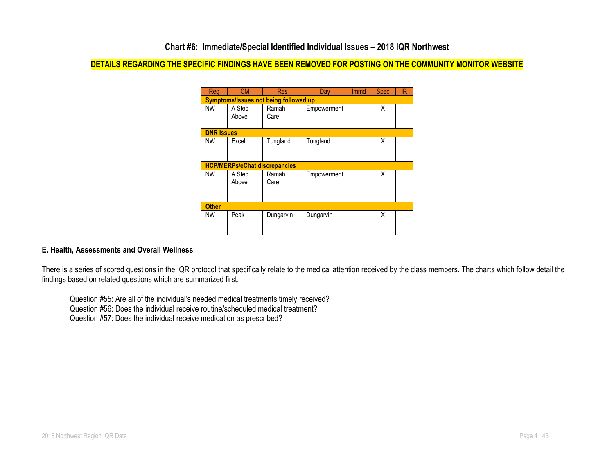## **DETAILS REGARDING THE SPECIFIC FINDINGS HAVE BEEN REMOVED FOR POSTING ON THE COMMUNITY MONITOR WEBSITE**

| Reg               | <b>CM</b>                                    | <b>Res</b>    | Day         | <b>Immd</b> | <b>Spec</b> | IR |  |  |
|-------------------|----------------------------------------------|---------------|-------------|-------------|-------------|----|--|--|
|                   | <b>Symptoms/Issues not being followed up</b> |               |             |             |             |    |  |  |
| <b>NW</b>         | A Step<br>Above                              | Ramah<br>Care | Empowerment |             | X           |    |  |  |
|                   |                                              |               |             |             |             |    |  |  |
| <b>DNR Issues</b> |                                              |               |             |             |             |    |  |  |
| <b>NW</b>         | Excel                                        | Tungland      | Tungland    |             | Χ           |    |  |  |
|                   |                                              |               |             |             |             |    |  |  |
|                   | <b>HCP/MERPs/eChat discrepancies</b>         |               |             |             |             |    |  |  |
| <b>NW</b>         | A Step                                       | Ramah         | Empowerment |             | Χ           |    |  |  |
|                   | Above                                        | Care          |             |             |             |    |  |  |
|                   |                                              |               |             |             |             |    |  |  |
| <b>Other</b>      |                                              |               |             |             |             |    |  |  |
| <b>NW</b>         | Peak                                         | Dungarvin     | Dungarvin   |             | X           |    |  |  |
|                   |                                              |               |             |             |             |    |  |  |

### **E. Health, Assessments and Overall Wellness**

There is a series of scored questions in the IQR protocol that specifically relate to the medical attention received by the class members. The charts which follow detail the findings based on related questions which are summarized first.

Question #55: Are all of the individual's needed medical treatments timely received? Question #56: Does the individual receive routine/scheduled medical treatment? Question #57: Does the individual receive medication as prescribed?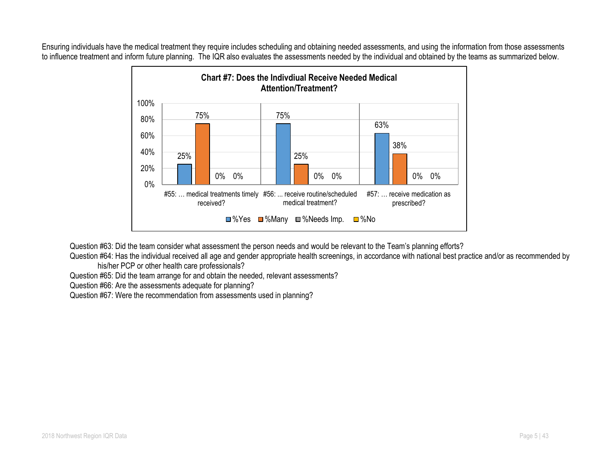Ensuring individuals have the medical treatment they require includes scheduling and obtaining needed assessments, and using the information from those assessments to influence treatment and inform future planning. The IQR also evaluates the assessments needed by the individual and obtained by the teams as summarized below.



Question #63: Did the team consider what assessment the person needs and would be relevant to the Team's planning efforts?

Question #64: Has the individual received all age and gender appropriate health screenings, in accordance with national best practice and/or as recommended by his/her PCP or other health care professionals?

Question #65: Did the team arrange for and obtain the needed, relevant assessments?

Question #66: Are the assessments adequate for planning?

Question #67: Were the recommendation from assessments used in planning?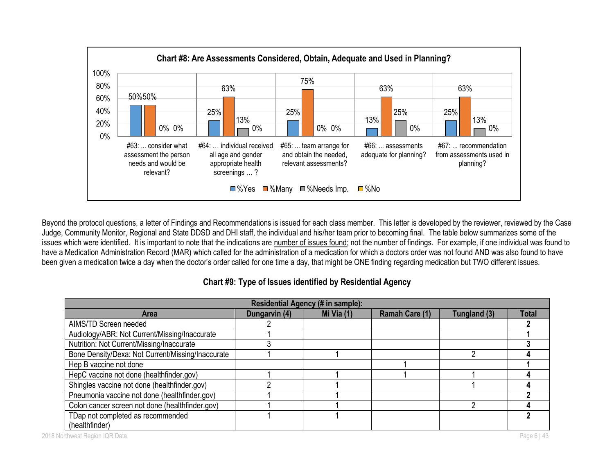

Beyond the protocol questions, a letter of Findings and Recommendations is issued for each class member. This letter is developed by the reviewer, reviewed by the Case Judge, Community Monitor, Regional and State DDSD and DHI staff, the individual and his/her team prior to becoming final. The table below summarizes some of the issues which were identified. It is important to note that the indications are number of issues found; not the number of findings. For example, if one individual was found to have a Medication Administration Record (MAR) which called for the administration of a medication for which a doctors order was not found AND was also found to have been given a medication twice a day when the doctor's order called for one time a day, that might be ONE finding regarding medication but TWO different issues.

| Residential Agency (# in sample):                 |               |            |                |              |              |  |  |
|---------------------------------------------------|---------------|------------|----------------|--------------|--------------|--|--|
| <b>Area</b>                                       | Dungarvin (4) | Mi Via (1) | Ramah Care (1) | Tungland (3) | <b>Total</b> |  |  |
| AIMS/TD Screen needed                             |               |            |                |              |              |  |  |
| Audiology/ABR: Not Current/Missing/Inaccurate     |               |            |                |              |              |  |  |
| Nutrition: Not Current/Missing/Inaccurate         |               |            |                |              |              |  |  |
| Bone Density/Dexa: Not Current/Missing/Inaccurate |               |            |                |              |              |  |  |
| Hep B vaccine not done                            |               |            |                |              |              |  |  |
| HepC vaccine not done (healthfinder.gov)          |               |            |                |              |              |  |  |
| Shingles vaccine not done (healthfinder.gov)      |               |            |                |              |              |  |  |
| Pneumonia vaccine not done (healthfinder.gov)     |               |            |                |              |              |  |  |
| Colon cancer screen not done (healthfinder.gov)   |               |            |                |              |              |  |  |
| TDap not completed as recommended                 |               |            |                |              |              |  |  |
| (healthfinder)                                    |               |            |                |              |              |  |  |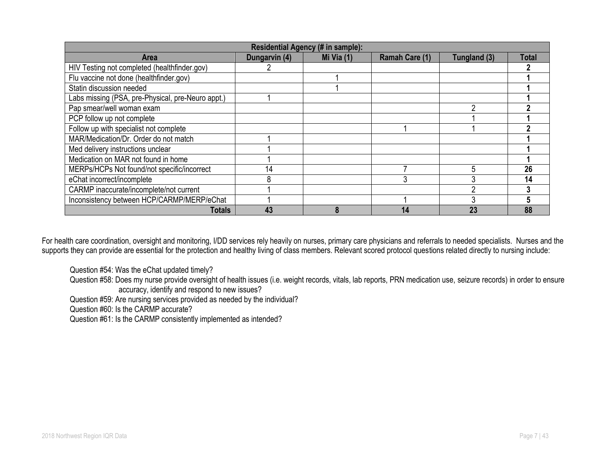| Residential Agency (# in sample):                 |               |            |                |              |       |  |  |
|---------------------------------------------------|---------------|------------|----------------|--------------|-------|--|--|
| <b>Area</b>                                       | Dungarvin (4) | Mi Via (1) | Ramah Care (1) | Tungland (3) | Total |  |  |
| HIV Testing not completed (healthfinder.gov)      |               |            |                |              |       |  |  |
| Flu vaccine not done (healthfinder.gov)           |               |            |                |              |       |  |  |
| Statin discussion needed                          |               |            |                |              |       |  |  |
| Labs missing (PSA, pre-Physical, pre-Neuro appt.) |               |            |                |              |       |  |  |
| Pap smear/well woman exam                         |               |            |                |              |       |  |  |
| PCP follow up not complete                        |               |            |                |              |       |  |  |
| Follow up with specialist not complete            |               |            |                |              |       |  |  |
| MAR/Medication/Dr. Order do not match             |               |            |                |              |       |  |  |
| Med delivery instructions unclear                 |               |            |                |              |       |  |  |
| Medication on MAR not found in home               |               |            |                |              |       |  |  |
| MERPs/HCPs Not found/not specific/incorrect       | 14            |            |                |              | 26    |  |  |
| eChat incorrect/incomplete                        |               |            | 3              |              | 14    |  |  |
| CARMP inaccurate/incomplete/not current           |               |            |                |              |       |  |  |
| Inconsistency between HCP/CARMP/MERP/eChat        |               |            |                |              |       |  |  |
| <b>Totals</b>                                     | 43            |            | 14             | 23           | 88    |  |  |

For health care coordination, oversight and monitoring, I/DD services rely heavily on nurses, primary care physicians and referrals to needed specialists. Nurses and the supports they can provide are essential for the protection and healthy living of class members. Relevant scored protocol questions related directly to nursing include:

Question #54: Was the eChat updated timely?

Question #58: Does my nurse provide oversight of health issues (i.e. weight records, vitals, lab reports, PRN medication use, seizure records) in order to ensure accuracy, identify and respond to new issues?

Question #59: Are nursing services provided as needed by the individual?

Question #60: Is the CARMP accurate?

Question #61: Is the CARMP consistently implemented as intended?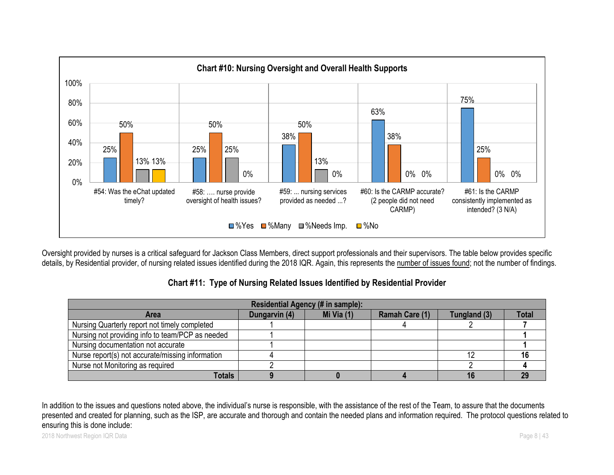

Oversight provided by nurses is a critical safeguard for Jackson Class Members, direct support professionals and their supervisors. The table below provides specific details, by Residential provider, of nursing related issues identified during the 2018 IQR. Again, this represents the number of issues found; not the number of findings.

# **Chart #11: Type of Nursing Related Issues Identified by Residential Provider**

| Residential Agency (# in sample):                |               |              |                |              |              |  |  |
|--------------------------------------------------|---------------|--------------|----------------|--------------|--------------|--|--|
| <b>Area</b>                                      | Dungarvin (4) | Mi Via $(1)$ | Ramah Care (1) | Tungland (3) | <b>Total</b> |  |  |
| Nursing Quarterly report not timely completed    |               |              |                |              |              |  |  |
| Nursing not providing info to team/PCP as needed |               |              |                |              |              |  |  |
| Nursing documentation not accurate               |               |              |                |              |              |  |  |
| Nurse report(s) not accurate/missing information |               |              |                |              |              |  |  |
| Nurse not Monitoring as required                 |               |              |                |              |              |  |  |
| <b>Totals</b>                                    |               |              |                |              |              |  |  |

In addition to the issues and questions noted above, the individual's nurse is responsible, with the assistance of the rest of the Team, to assure that the documents presented and created for planning, such as the ISP, are accurate and thorough and contain the needed plans and information required. The protocol questions related to ensuring this is done include: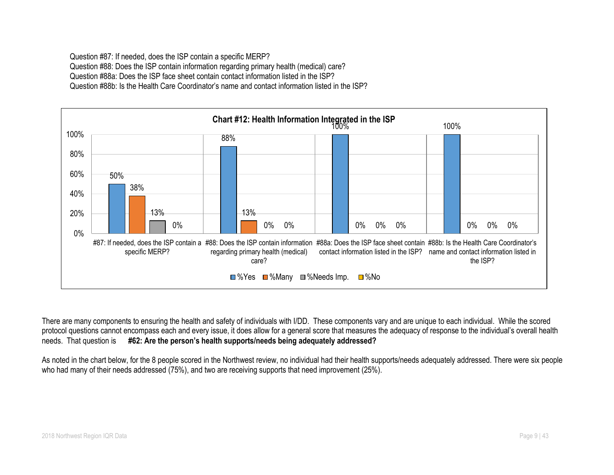Question #87: If needed, does the ISP contain a specific MERP? Question #88: Does the ISP contain information regarding primary health (medical) care? Question #88a: Does the ISP face sheet contain contact information listed in the ISP? Question #88b: Is the Health Care Coordinator's name and contact information listed in the ISP?



There are many components to ensuring the health and safety of individuals with I/DD. These components vary and are unique to each individual. While the scored protocol questions cannot encompass each and every issue, it does allow for a general score that measures the adequacy of response to the individual's overall health needs. That question is **#62: Are the person's health supports/needs being adequately addressed?**

As noted in the chart below, for the 8 people scored in the Northwest review, no individual had their health supports/needs adequately addressed. There were six people who had many of their needs addressed (75%), and two are receiving supports that need improvement (25%).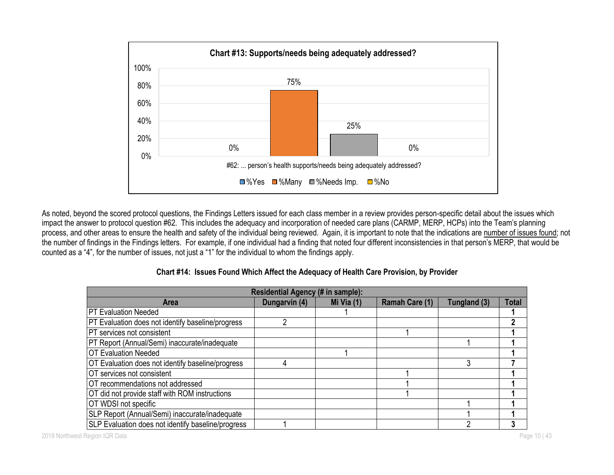

As noted, beyond the scored protocol questions, the Findings Letters issued for each class member in a review provides person-specific detail about the issues which impact the answer to protocol question #62. This includes the adequacy and incorporation of needed care plans (CARMP, MERP, HCPs) into the Team's planning process, and other areas to ensure the health and safety of the individual being reviewed. Again, it is important to note that the indications are number of issues found; not the number of findings in the Findings letters. For example, if one individual had a finding that noted four different inconsistencies in that person's MERP, that would be counted as a "4", for the number of issues, not just a "1" for the individual to whom the findings apply.

| Residential Agency (# in sample):                  |               |              |                       |              |              |  |
|----------------------------------------------------|---------------|--------------|-----------------------|--------------|--------------|--|
| <b>Area</b>                                        | Dungarvin (4) | Mi Via $(1)$ | <b>Ramah Care (1)</b> | Tungland (3) | <b>Total</b> |  |
| <b>PT Evaluation Needed</b>                        |               |              |                       |              |              |  |
| PT Evaluation does not identify baseline/progress  |               |              |                       |              |              |  |
| PT services not consistent                         |               |              |                       |              |              |  |
| PT Report (Annual/Semi) inaccurate/inadequate      |               |              |                       |              |              |  |
| <b>OT Evaluation Needed</b>                        |               |              |                       |              |              |  |
| OT Evaluation does not identify baseline/progress  |               |              |                       | 3            |              |  |
| OT services not consistent                         |               |              |                       |              |              |  |
| OT recommendations not addressed                   |               |              |                       |              |              |  |
| OT did not provide staff with ROM instructions     |               |              |                       |              |              |  |
| OT WDSI not specific                               |               |              |                       |              |              |  |
| SLP Report (Annual/Semi) inaccurate/inadequate     |               |              |                       |              |              |  |
| SLP Evaluation does not identify baseline/progress |               |              |                       |              |              |  |

## **Chart #14: Issues Found Which Affect the Adequacy of Health Care Provision, by Provider**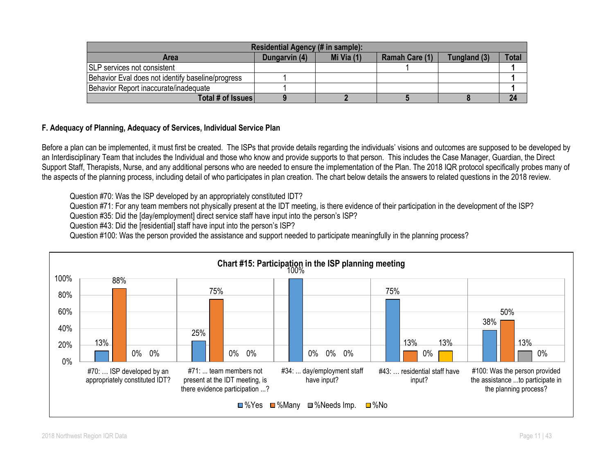| Residential Agency (# in sample):                 |               |            |                |              |              |  |  |
|---------------------------------------------------|---------------|------------|----------------|--------------|--------------|--|--|
| <b>Area</b>                                       | Dungarvin (4) | Mi Via (1) | Ramah Care (1) | Tungland (3) | <b>Total</b> |  |  |
| <b>SLP</b> services not consistent                |               |            |                |              |              |  |  |
| Behavior Eval does not identify baseline/progress |               |            |                |              |              |  |  |
| Behavior Report inaccurate/inadequate             |               |            |                |              |              |  |  |
| Total # of Issues                                 |               |            |                |              |              |  |  |

## **F. Adequacy of Planning, Adequacy of Services, Individual Service Plan**

Before a plan can be implemented, it must first be created. The ISPs that provide details regarding the individuals' visions and outcomes are supposed to be developed by an Interdisciplinary Team that includes the Individual and those who know and provide supports to that person. This includes the Case Manager, Guardian, the Direct Support Staff, Therapists, Nurse, and any additional persons who are needed to ensure the implementation of the Plan. The 2018 IQR protocol specifically probes many of the aspects of the planning process, including detail of who participates in plan creation. The chart below details the answers to related questions in the 2018 review.

Question #70: Was the ISP developed by an appropriately constituted IDT?

Question #71: For any team members not physically present at the IDT meeting, is there evidence of their participation in the development of the ISP?

Question #35: Did the [day/employment] direct service staff have input into the person's ISP?

Question #43: Did the [residential] staff have input into the person's ISP?

Question #100: Was the person provided the assistance and support needed to participate meaningfully in the planning process?

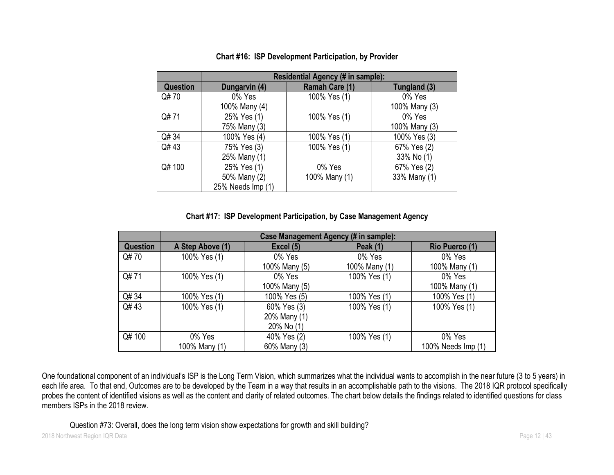|          | Residential Agency (# in sample): |                |               |  |  |  |  |
|----------|-----------------------------------|----------------|---------------|--|--|--|--|
| Question | Dungarvin (4)                     | Ramah Care (1) | Tungland (3)  |  |  |  |  |
| Q#70     | 0% Yes                            | 100% Yes (1)   | 0% Yes        |  |  |  |  |
|          | 100% Many (4)                     |                | 100% Many (3) |  |  |  |  |
| Q#71     | 25% Yes (1)                       | 100% Yes (1)   | 0% Yes        |  |  |  |  |
|          | 75% Many (3)                      |                | 100% Many (3) |  |  |  |  |
| Q# 34    | 100% Yes (4)                      | 100% Yes (1)   | 100% Yes (3)  |  |  |  |  |
| Q#43     | 75% Yes (3)                       | 100% Yes (1)   | 67% Yes (2)   |  |  |  |  |
|          | 25% Many (1)                      |                | 33% No (1)    |  |  |  |  |
| Q# 100   | 25% Yes (1)                       | 0% Yes         | 67% Yes (2)   |  |  |  |  |
|          | 50% Many (2)                      | 100% Many (1)  | 33% Many (1)  |  |  |  |  |
|          | 25% Needs Imp (1)                 |                |               |  |  |  |  |

# **Chart #16: ISP Development Participation, by Provider**

**Chart #17: ISP Development Participation, by Case Management Agency**

|          | Case Management Agency (# in sample): |               |                 |                    |
|----------|---------------------------------------|---------------|-----------------|--------------------|
| Question | A Step Above (1)                      | Excel (5)     | <b>Peak (1)</b> | Rio Puerco (1)     |
| Q#70     | 100% Yes (1)                          | 0% Yes        | 0% Yes          | 0% Yes             |
|          |                                       | 100% Many (5) | 100% Many (1)   | 100% Many (1)      |
| Q#71     | 100% Yes (1)                          | 0% Yes        | 100% Yes (1)    | 0% Yes             |
|          |                                       | 100% Many (5) |                 | 100% Many (1)      |
| Q# 34    | 100% Yes (1)                          | 100% Yes (5)  | 100% Yes (1)    | 100% Yes (1)       |
| Q#43     | 100% Yes (1)                          | 60% Yes (3)   | 100% Yes (1)    | 100% Yes (1)       |
|          |                                       | 20% Many (1)  |                 |                    |
|          |                                       | 20% No (1)    |                 |                    |
| Q# 100   | 0% Yes                                | 40% Yes (2)   | 100% Yes (1)    | 0% Yes             |
|          | 100% Many (1)                         | 60% Many (3)  |                 | 100% Needs Imp (1) |

One foundational component of an individual's ISP is the Long Term Vision, which summarizes what the individual wants to accomplish in the near future (3 to 5 years) in each life area. To that end, Outcomes are to be developed by the Team in a way that results in an accomplishable path to the visions. The 2018 IQR protocol specifically probes the content of identified visions as well as the content and clarity of related outcomes. The chart below details the findings related to identified questions for class members ISPs in the 2018 review.

Question #73: Overall, does the long term vision show expectations for growth and skill building?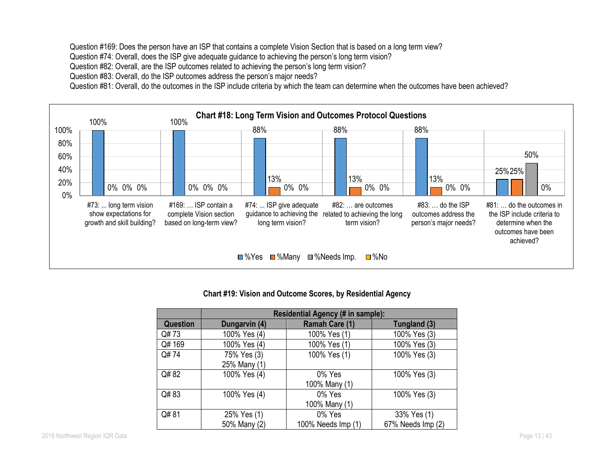Question #169: Does the person have an ISP that contains a complete Vision Section that is based on a long term view?

Question #74: Overall, does the ISP give adequate guidance to achieving the person's long term vision?

Question #82: Overall, are the ISP outcomes related to achieving the person's long term vision?

Question #83: Overall, do the ISP outcomes address the person's major needs?

Question #81: Overall, do the outcomes in the ISP include criteria by which the team can determine when the outcomes have been achieved?



### **Chart #19: Vision and Outcome Scores, by Residential Agency**

|                 | Residential Agency (# in sample): |                    |                   |  |
|-----------------|-----------------------------------|--------------------|-------------------|--|
| <b>Question</b> | Dungarvin (4)                     | Ramah Care (1)     | Tungland (3)      |  |
| Q#73            | 100% Yes (4)                      | 100% Yes (1)       | 100% Yes (3)      |  |
| Q#169           | 100% Yes (4)                      | 100% Yes (1)       | 100% Yes (3)      |  |
| Q#74            | 75% Yes (3)                       | 100% Yes (1)       | 100% Yes (3)      |  |
|                 | 25% Many (1)                      |                    |                   |  |
| Q#82            | 100% Yes (4)                      | 0% Yes             | 100% Yes (3)      |  |
|                 |                                   | 100% Many (1)      |                   |  |
| Q#83            | 100% Yes (4)                      | 0% Yes             | 100% Yes (3)      |  |
|                 |                                   | 100% Many (1)      |                   |  |
| Q#81            | 25% Yes (1)                       | 0% Yes             | 33% Yes (1)       |  |
|                 | 50% Many (2)                      | 100% Needs Imp (1) | 67% Needs Imp (2) |  |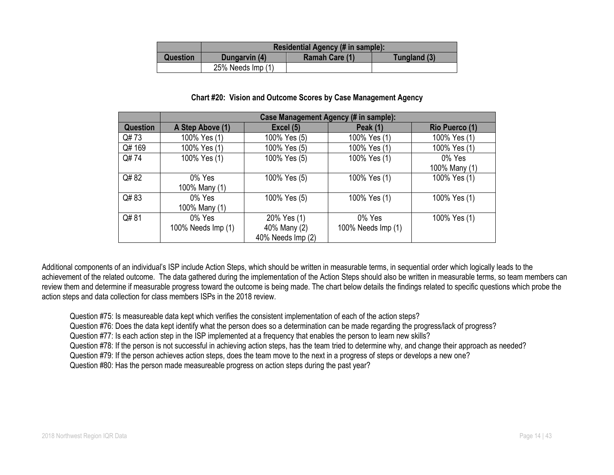|                 | Residential Agency (# in sample):               |  |  |  |
|-----------------|-------------------------------------------------|--|--|--|
| <b>Question</b> | Ramah Care (1)<br>Tungland (3)<br>Dungarvin (4) |  |  |  |
|                 | 25% Needs Imp (1)                               |  |  |  |

#### **Chart #20: Vision and Outcome Scores by Case Management Agency**

|                 | Case Management Agency (# in sample): |                   |                    |                       |  |
|-----------------|---------------------------------------|-------------------|--------------------|-----------------------|--|
| <b>Question</b> | A Step Above (1)                      | Excel (5)         | <b>Peak (1)</b>    | <b>Rio Puerco (1)</b> |  |
| Q#73            | 100% Yes (1)                          | 100% Yes (5)      | 100% Yes (1)       | 100% Yes (1)          |  |
| Q# 169          | 100% Yes (1)                          | 100% Yes (5)      | 100% Yes (1)       | 100% Yes (1)          |  |
| Q#74            | 100% Yes (1)                          | 100% Yes (5)      | 100% Yes (1)       | 0% Yes                |  |
|                 |                                       |                   |                    | 100% Many (1)         |  |
| Q#82            | 0% Yes                                | 100% Yes (5)      | 100% Yes (1)       | 100% Yes (1)          |  |
|                 | 100% Many (1)                         |                   |                    |                       |  |
| Q#83            | 0% Yes                                | 100% Yes (5)      | 100% Yes (1)       | 100% Yes (1)          |  |
|                 | 100% Many (1)                         |                   |                    |                       |  |
| Q#81            | 0% Yes                                | 20% Yes (1)       | 0% Yes             | 100% Yes (1)          |  |
|                 | 100% Needs Imp (1)                    | 40% Many (2)      | 100% Needs Imp (1) |                       |  |
|                 |                                       | 40% Needs Imp (2) |                    |                       |  |

Additional components of an individual's ISP include Action Steps, which should be written in measurable terms, in sequential order which logically leads to the achievement of the related outcome. The data gathered during the implementation of the Action Steps should also be written in measurable terms, so team members can review them and determine if measurable progress toward the outcome is being made. The chart below details the findings related to specific questions which probe the action steps and data collection for class members ISPs in the 2018 review.

Question #75: Is measureable data kept which verifies the consistent implementation of each of the action steps?

Question #76: Does the data kept identify what the person does so a determination can be made regarding the progress/lack of progress?

Question #77: Is each action step in the ISP implemented at a frequency that enables the person to learn new skills?

Question #78: If the person is not successful in achieving action steps, has the team tried to determine why, and change their approach as needed?

Question #79: If the person achieves action steps, does the team move to the next in a progress of steps or develops a new one?

Question #80: Has the person made measureable progress on action steps during the past year?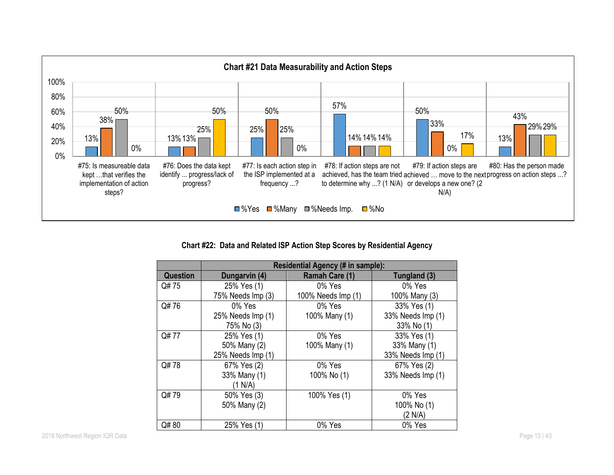

**Chart #22: Data and Related ISP Action Step Scores by Residential Agency**

|          | Residential Agency (# in sample): |                    |                   |  |
|----------|-----------------------------------|--------------------|-------------------|--|
| Question | Dungarvin (4)                     | Ramah Care (1)     | Tungland (3)      |  |
| Q# 75    | 25% Yes (1)                       | 0% Yes             | 0% Yes            |  |
|          | 75% Needs Imp (3)                 | 100% Needs Imp (1) | 100% Many (3)     |  |
| Q#76     | $0\%$ Yes                         | $0\%$ Yes          | 33% Yes (1)       |  |
|          | 25% Needs Imp (1)                 | 100% Many (1)      | 33% Needs Imp (1) |  |
|          | 75% No (3)                        |                    | 33% No (1)        |  |
| Q# 77    | 25% Yes (1)                       | 0% Yes             | 33% Yes (1)       |  |
|          | 50% Many (2)                      | 100% Many (1)      | 33% Many (1)      |  |
|          | 25% Needs Imp (1)                 |                    | 33% Needs Imp (1) |  |
| Q#78     | 67% Yes (2)                       | 0% Yes             | 67% Yes (2)       |  |
|          | 33% Many (1)                      | 100% No (1)        | 33% Needs Imp (1) |  |
|          | (1 N/A)                           |                    |                   |  |
| Q#79     | 50% Yes (3)                       | 100% Yes (1)       | 0% Yes            |  |
|          | 50% Many (2)                      |                    | 100% No (1)       |  |
|          |                                   |                    | (2 N/A)           |  |
| Q#80     | 25% Yes (1)                       | 0% Yes             | 0% Yes            |  |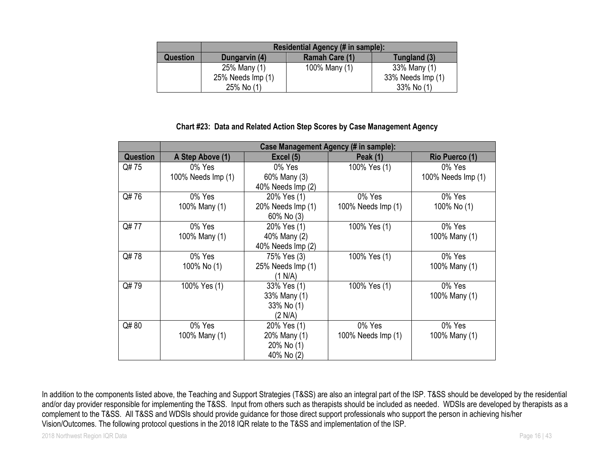|          | Residential Agency (# in sample): |                |                   |  |
|----------|-----------------------------------|----------------|-------------------|--|
| Question | Dungarvin (4)                     | Ramah Care (1) | Tungland (3)      |  |
|          | 25% Many (1)                      | 100% Many (1)  | 33% Many (1)      |  |
|          | 25% Needs Imp (1)                 |                | 33% Needs Imp (1) |  |
|          | 25% No (1)                        |                | 33% No (1)        |  |

#### **Chart #23: Data and Related Action Step Scores by Case Management Agency**

|                 | Case Management Agency (# in sample): |                   |                    |                    |  |
|-----------------|---------------------------------------|-------------------|--------------------|--------------------|--|
| <b>Question</b> | A Step Above (1)                      | Excel (5)         | <b>Peak (1)</b>    | Rio Puerco (1)     |  |
| Q# 75           | 0% Yes                                | 0% Yes            | 100% Yes (1)       | 0% Yes             |  |
|                 | 100% Needs Imp (1)                    | 60% Many (3)      |                    | 100% Needs Imp (1) |  |
|                 |                                       | 40% Needs Imp (2) |                    |                    |  |
| Q#76            | 0% Yes                                | 20% Yes (1)       | 0% Yes             | 0% Yes             |  |
|                 | 100% Many (1)                         | 20% Needs Imp (1) | 100% Needs Imp (1) | 100% No (1)        |  |
|                 |                                       | 60% No (3)        |                    |                    |  |
| Q#77            | 0% Yes                                | 20% Yes (1)       | 100% Yes (1)       | 0% Yes             |  |
|                 | 100% Many (1)                         | 40% Many (2)      |                    | 100% Many (1)      |  |
|                 |                                       | 40% Needs Imp (2) |                    |                    |  |
| Q#78            | 0% Yes                                | 75% Yes (3)       | 100% Yes (1)       | 0% Yes             |  |
|                 | 100% No (1)                           | 25% Needs Imp (1) |                    | 100% Many (1)      |  |
|                 |                                       | (1 N/A)           |                    |                    |  |
| Q#79            | 100% Yes (1)                          | 33% Yes (1)       | 100% Yes (1)       | 0% Yes             |  |
|                 |                                       | 33% Many (1)      |                    | 100% Many (1)      |  |
|                 |                                       | 33% No (1)        |                    |                    |  |
|                 |                                       | (2 N/A)           |                    |                    |  |
| Q#80            | 0% Yes                                | 20% Yes (1)       | 0% Yes             | 0% Yes             |  |
|                 | 100% Many (1)                         | 20% Many (1)      | 100% Needs Imp (1) | 100% Many (1)      |  |
|                 |                                       | 20% No (1)        |                    |                    |  |
|                 |                                       | 40% No (2)        |                    |                    |  |

In addition to the components listed above, the Teaching and Support Strategies (T&SS) are also an integral part of the ISP. T&SS should be developed by the residential and/or day provider responsible for implementing the T&SS. Input from others such as therapists should be included as needed. WDSIs are developed by therapists as a complement to the T&SS. All T&SS and WDSIs should provide guidance for those direct support professionals who support the person in achieving his/her Vision/Outcomes. The following protocol questions in the 2018 IQR relate to the T&SS and implementation of the ISP.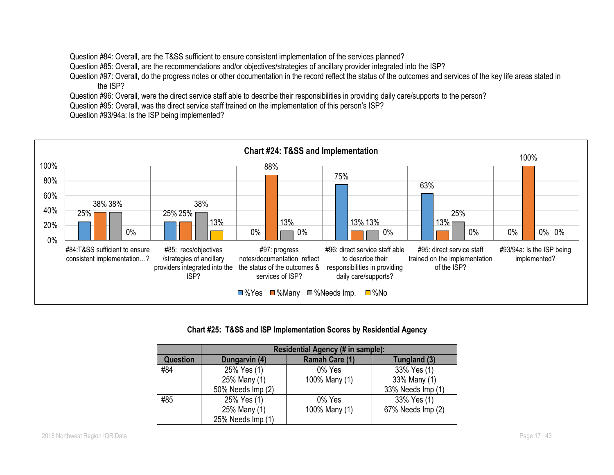Question #84: Overall, are the T&SS sufficient to ensure consistent implementation of the services planned?

Question #85: Overall, are the recommendations and/or objectives/strategies of ancillary provider integrated into the ISP?

Question #97: Overall, do the progress notes or other documentation in the record reflect the status of the outcomes and services of the key life areas stated in the ISP?

Question #96: Overall, were the direct service staff able to describe their responsibilities in providing daily care/supports to the person?

Question #95: Overall, was the direct service staff trained on the implementation of this person's ISP?

Question #93/94a: Is the ISP being implemented?



**Chart #25: T&SS and ISP Implementation Scores by Residential Agency**

|                 | Residential Agency (# in sample): |                |                   |  |
|-----------------|-----------------------------------|----------------|-------------------|--|
| <b>Question</b> | Dungarvin (4)                     | Ramah Care (1) | Tungland (3)      |  |
| #84             | 25% Yes (1)                       | 0% Yes         | 33% Yes (1)       |  |
|                 | 25% Many (1)                      | 100% Many (1)  | 33% Many (1)      |  |
|                 | 50% Needs Imp (2)                 |                | 33% Needs Imp (1) |  |
| #85             | 25% Yes (1)                       | 0% Yes         | 33% Yes (1)       |  |
|                 | 25% Many (1)                      | 100% Many (1)  | 67% Needs Imp (2) |  |
|                 | 25% Needs Imp (1)                 |                |                   |  |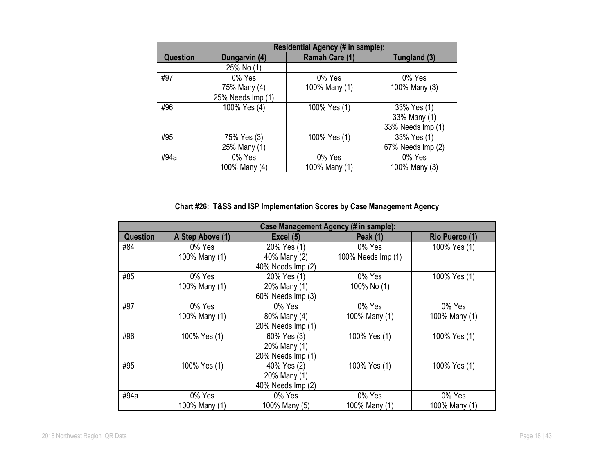|                 | Residential Agency (# in sample): |                |                   |  |
|-----------------|-----------------------------------|----------------|-------------------|--|
| <b>Question</b> | Dungarvin (4)                     | Ramah Care (1) | Tungland (3)      |  |
|                 | 25% No (1)                        |                |                   |  |
| #97             | 0% Yes                            | 0% Yes         | 0% Yes            |  |
|                 | 75% Many (4)                      | 100% Many (1)  | 100% Many (3)     |  |
|                 | 25% Needs Imp (1)                 |                |                   |  |
| #96             | 100% Yes (4)                      | 100% Yes (1)   | 33% Yes (1)       |  |
|                 |                                   |                | 33% Many (1)      |  |
|                 |                                   |                | 33% Needs Imp (1) |  |
| #95             | 75% Yes (3)                       | 100% Yes (1)   | 33% Yes (1)       |  |
|                 | 25% Many (1)                      |                | 67% Needs Imp (2) |  |
| #94a            | 0% Yes                            | 0% Yes         | 0% Yes            |  |
|                 | 100% Many (4)                     | 100% Many (1)  | 100% Many (3)     |  |

**Chart #26: T&SS and ISP Implementation Scores by Case Management Agency**

|                 | Case Management Agency (# in sample): |                   |                    |                       |
|-----------------|---------------------------------------|-------------------|--------------------|-----------------------|
| <b>Question</b> | A Step Above (1)                      | Excel (5)         | <b>Peak (1)</b>    | <b>Rio Puerco (1)</b> |
| #84             | 0% Yes                                | 20% Yes (1)       | 0% Yes             | 100% Yes (1)          |
|                 | 100% Many (1)                         | 40% Many (2)      | 100% Needs Imp (1) |                       |
|                 |                                       | 40% Needs Imp (2) |                    |                       |
| #85             | 0% Yes                                | 20% Yes (1)       | 0% Yes             | 100% Yes (1)          |
|                 | 100% Many (1)                         | 20% Many (1)      | 100% No (1)        |                       |
|                 |                                       | 60% Needs Imp (3) |                    |                       |
| #97             | 0% Yes                                | 0% Yes            | 0% Yes             | 0% Yes                |
|                 | 100% Many (1)                         | 80% Many (4)      | 100% Many (1)      | 100% Many (1)         |
|                 |                                       | 20% Needs Imp (1) |                    |                       |
| #96             | 100% Yes (1)                          | 60% Yes (3)       | 100% Yes (1)       | 100% Yes (1)          |
|                 |                                       | 20% Many (1)      |                    |                       |
|                 |                                       | 20% Needs Imp (1) |                    |                       |
| #95             | 100% Yes (1)                          | 40% Yes (2)       | 100% Yes (1)       | 100% Yes (1)          |
|                 |                                       | 20% Many (1)      |                    |                       |
|                 |                                       | 40% Needs Imp (2) |                    |                       |
| #94a            | 0% Yes                                | 0% Yes            | 0% Yes             | 0% Yes                |
|                 | 100% Many (1)                         | 100% Many (5)     | 100% Many (1)      | 100% Many (1)         |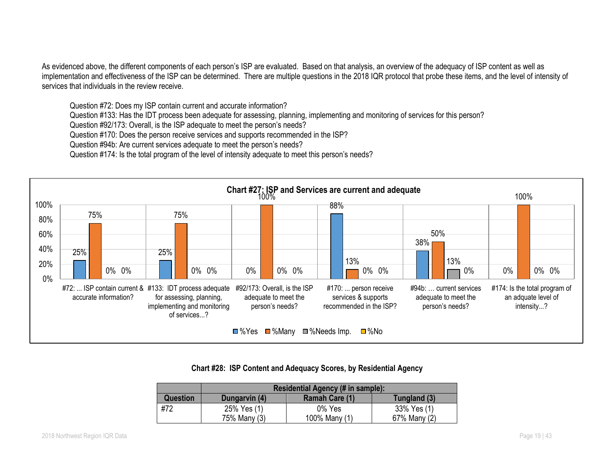As evidenced above, the different components of each person's ISP are evaluated. Based on that analysis, an overview of the adequacy of ISP content as well as implementation and effectiveness of the ISP can be determined. There are multiple questions in the 2018 IQR protocol that probe these items, and the level of intensity of services that individuals in the review receive.

Question #72: Does my ISP contain current and accurate information?

Question #133: Has the IDT process been adequate for assessing, planning, implementing and monitoring of services for this person?

Question #92/173: Overall, is the ISP adequate to meet the person's needs?

Question #170: Does the person receive services and supports recommended in the ISP?

Question #94b: Are current services adequate to meet the person's needs?

Question #174: Is the total program of the level of intensity adequate to meet this person's needs?



## **Chart #28: ISP Content and Adequacy Scores, by Residential Agency**

|          | Residential Agency (# in sample): |                |              |  |
|----------|-----------------------------------|----------------|--------------|--|
| Question | Dungarvin (4)                     | Ramah Care (1) | Tungland (3) |  |
| #72      | 25% Yes (1)                       | 0% Yes         | 33% Yes (1)  |  |
|          | 75% Many (3)                      | 100% Many (1)  | 67% Many (2) |  |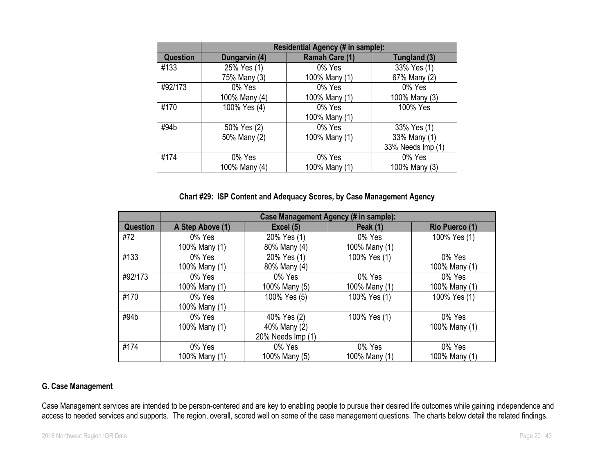|                 | Residential Agency (# in sample): |                |                   |  |
|-----------------|-----------------------------------|----------------|-------------------|--|
| <b>Question</b> | Dungarvin (4)                     | Ramah Care (1) | Tungland (3)      |  |
| #133            | 25% Yes (1)                       | 0% Yes         | 33% Yes (1)       |  |
|                 | 75% Many (3)                      | 100% Many (1)  | 67% Many (2)      |  |
| #92/173         | 0% Yes                            | 0% Yes         | 0% Yes            |  |
|                 | 100% Many (4)                     | 100% Many (1)  | 100% Many (3)     |  |
| #170            | 100% Yes (4)                      | 0% Yes         | 100% Yes          |  |
|                 |                                   | 100% Many (1)  |                   |  |
| #94b            | 50% Yes (2)                       | 0% Yes         | 33% Yes (1)       |  |
|                 | 50% Many (2)                      | 100% Many (1)  | 33% Many (1)      |  |
|                 |                                   |                | 33% Needs Imp (1) |  |
| #174            | 0% Yes                            | 0% Yes         | 0% Yes            |  |
|                 | 100% Many (4)                     | 100% Many (1)  | 100% Many (3)     |  |

## **Chart #29: ISP Content and Adequacy Scores, by Case Management Agency**

|                 | Case Management Agency (# in sample): |                   |                 |                |  |
|-----------------|---------------------------------------|-------------------|-----------------|----------------|--|
| <b>Question</b> | A Step Above (1)                      | Excel (5)         | <b>Peak (1)</b> | Rio Puerco (1) |  |
| #72             | 0% Yes                                | 20% Yes (1)       | 0% Yes          | 100% Yes (1)   |  |
|                 | 100% Many (1)                         | 80% Many (4)      | 100% Many (1)   |                |  |
| #133            | 0% Yes                                | 20% Yes (1)       | 100% Yes (1)    | 0% Yes         |  |
|                 | 100% Many (1)                         | 80% Many (4)      |                 | 100% Many (1)  |  |
| #92/173         | 0% Yes                                | 0% Yes            | 0% Yes          | 0% Yes         |  |
|                 | 100% Many (1)                         | 100% Many (5)     | 100% Many (1)   | 100% Many (1)  |  |
| #170            | 0% Yes                                | 100% Yes (5)      | 100% Yes (1)    | 100% Yes (1)   |  |
|                 | 100% Many (1)                         |                   |                 |                |  |
| #94b            | 0% Yes                                | 40% Yes (2)       | 100% Yes (1)    | 0% Yes         |  |
|                 | 100% Many (1)                         | 40% Many (2)      |                 | 100% Many (1)  |  |
|                 |                                       | 20% Needs Imp (1) |                 |                |  |
| #174            | 0% Yes                                | 0% Yes            | 0% Yes          | 0% Yes         |  |
|                 | 100% Many (1)                         | 100% Many (5)     | 100% Many (1)   | 100% Many (1)  |  |

## **G. Case Management**

Case Management services are intended to be person-centered and are key to enabling people to pursue their desired life outcomes while gaining independence and access to needed services and supports. The region, overall, scored well on some of the case management questions. The charts below detail the related findings.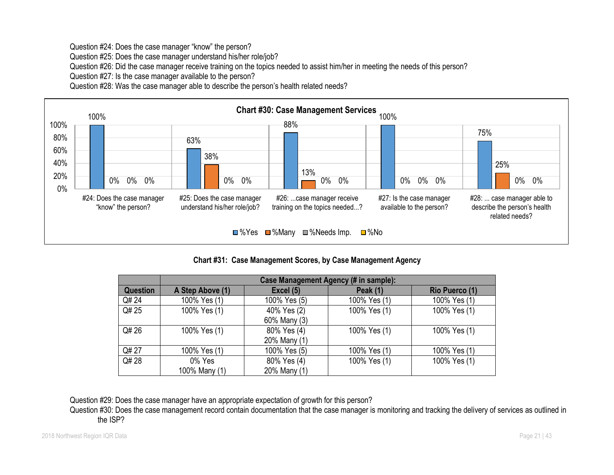Question #24: Does the case manager "know" the person?

Question #25: Does the case manager understand his/her role/job?

Question #26: Did the case manager receive training on the topics needed to assist him/her in meeting the needs of this person?

Question #27: Is the case manager available to the person?

Question #28: Was the case manager able to describe the person's health related needs?



## **Chart #31: Case Management Scores, by Case Management Agency**

|                 | Case Management Agency (# in sample): |              |                 |                       |  |  |
|-----------------|---------------------------------------|--------------|-----------------|-----------------------|--|--|
| <b>Question</b> | A Step Above (1)                      | Excel (5)    | <b>Peak (1)</b> | <b>Rio Puerco (1)</b> |  |  |
| Q# 24           | 100% Yes (1)                          | 100% Yes (5) | 100% Yes (1)    | 100% Yes (1)          |  |  |
| Q# 25           | 100% Yes (1)                          | 40% Yes (2)  | 100% Yes (1)    | 100% Yes (1)          |  |  |
|                 |                                       | 60% Many (3) |                 |                       |  |  |
| Q# 26           | 100% Yes (1)                          | 80% Yes (4)  | 100% Yes (1)    | 100% Yes (1)          |  |  |
|                 |                                       | 20% Many (1) |                 |                       |  |  |
| Q# 27           | 100% Yes (1)                          | 100% Yes (5) | 100% Yes (1)    | 100% Yes (1)          |  |  |
| Q# 28           | 0% Yes                                | 80% Yes (4)  | 100% Yes (1)    | 100% Yes (1)          |  |  |
|                 | 100% Many (1)                         | 20% Many (1) |                 |                       |  |  |

Question #29: Does the case manager have an appropriate expectation of growth for this person?

Question #30: Does the case management record contain documentation that the case manager is monitoring and tracking the delivery of services as outlined in the ISP?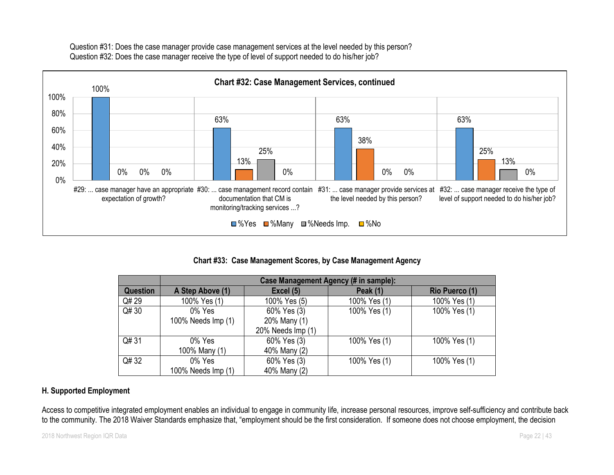Question #31: Does the case manager provide case management services at the level needed by this person? Question #32: Does the case manager receive the type of level of support needed to do his/her job?



## **Chart #33: Case Management Scores, by Case Management Agency**

|                 | Case Management Agency (# in sample): |                   |                 |                |  |
|-----------------|---------------------------------------|-------------------|-----------------|----------------|--|
| <b>Question</b> | A Step Above (1)                      | Excel (5)         | <b>Peak (1)</b> | Rio Puerco (1) |  |
| Q# 29           | 100% Yes (1)                          | 100% Yes (5)      | 100% Yes (1)    | 100% Yes (1)   |  |
| Q# 30           | 0% Yes                                | 60% Yes (3)       | 100% Yes (1)    | 100% Yes (1)   |  |
|                 | 100% Needs Imp (1)                    | 20% Many (1)      |                 |                |  |
|                 |                                       | 20% Needs Imp (1) |                 |                |  |
| Q# 31           | 0% Yes                                | 60% Yes (3)       | 100% Yes (1)    | 100% Yes (1)   |  |
|                 | 100% Many (1)                         | 40% Many (2)      |                 |                |  |
| Q# 32           | 0% Yes                                | 60% Yes (3)       | 100% Yes (1)    | 100% Yes (1)   |  |
|                 | 100% Needs Imp (1)                    | 40% Many (2)      |                 |                |  |

## **H. Supported Employment**

Access to competitive integrated employment enables an individual to engage in community life, increase personal resources, improve self-sufficiency and contribute back to the community. The 2018 Waiver Standards emphasize that, "employment should be the first consideration. If someone does not choose employment, the decision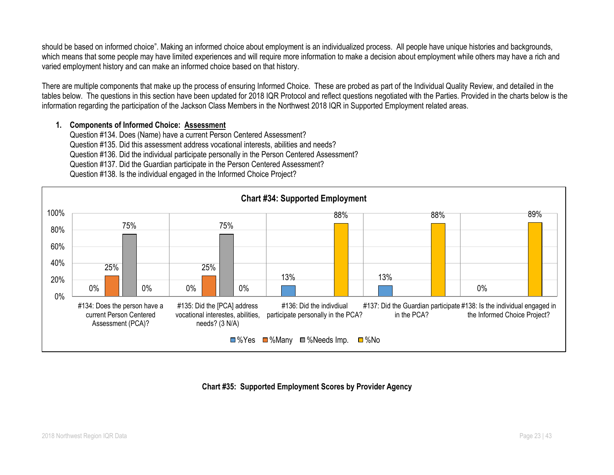should be based on informed choice". Making an informed choice about employment is an individualized process. All people have unique histories and backgrounds, which means that some people may have limited experiences and will require more information to make a decision about employment while others may have a rich and varied employment history and can make an informed choice based on that history.

There are multiple components that make up the process of ensuring Informed Choice. These are probed as part of the Individual Quality Review, and detailed in the tables below. The questions in this section have been updated for 2018 IQR Protocol and reflect questions negotiated with the Parties. Provided in the charts below is the information regarding the participation of the Jackson Class Members in the Northwest 2018 IQR in Supported Employment related areas.

#### **1. Components of Informed Choice: Assessment**

Question #134. Does (Name) have a current Person Centered Assessment? Question #135. Did this assessment address vocational interests, abilities and needs? Question #136. Did the individual participate personally in the Person Centered Assessment? Question #137. Did the Guardian participate in the Person Centered Assessment? Question #138. Is the individual engaged in the Informed Choice Project?



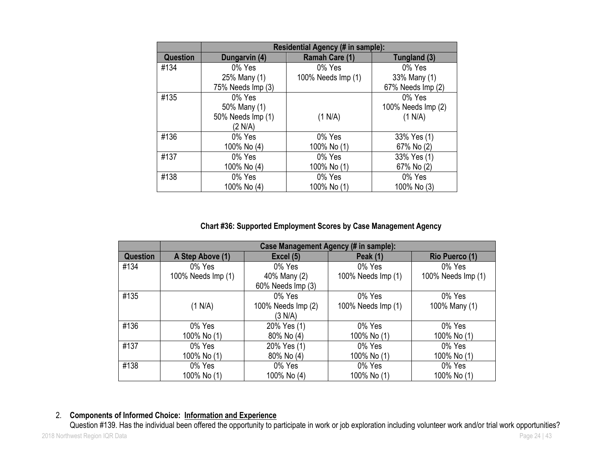|                 | Residential Agency (# in sample): |                    |                    |  |  |  |
|-----------------|-----------------------------------|--------------------|--------------------|--|--|--|
| <b>Question</b> | Dungarvin (4)                     | Ramah Care (1)     | Tungland (3)       |  |  |  |
| #134            | 0% Yes                            | 0% Yes             | 0% Yes             |  |  |  |
|                 | 25% Many (1)                      | 100% Needs Imp (1) | 33% Many (1)       |  |  |  |
|                 | 75% Needs Imp (3)                 |                    | 67% Needs Imp (2)  |  |  |  |
| #135            | 0% Yes                            |                    | 0% Yes             |  |  |  |
|                 | 50% Many (1)                      |                    | 100% Needs Imp (2) |  |  |  |
|                 | 50% Needs Imp (1)                 | (1 N/A)            | (1 N/A)            |  |  |  |
|                 | (2 N/A)                           |                    |                    |  |  |  |
| #136            | 0% Yes                            | 0% Yes             | 33% Yes (1)        |  |  |  |
|                 | 100% No (4)                       | 100% No (1)        | 67% No (2)         |  |  |  |
| #137            | 0% Yes                            | 0% Yes             | 33% Yes (1)        |  |  |  |
|                 | 100% No (4)                       | 100% No (1)        | 67% No (2)         |  |  |  |
| #138            | 0% Yes                            | 0% Yes             | 0% Yes             |  |  |  |
|                 | 100% No (4)                       | 100% No (1)        | 100% No (3)        |  |  |  |

**Chart #36: Supported Employment Scores by Case Management Agency**

|                 | Case Management Agency (# in sample): |                    |                    |                       |  |
|-----------------|---------------------------------------|--------------------|--------------------|-----------------------|--|
| <b>Question</b> | A Step Above (1)                      | Excel (5)          | <b>Peak (1)</b>    | <b>Rio Puerco (1)</b> |  |
| #134            | 0% Yes                                | 0% Yes             | 0% Yes             | 0% Yes                |  |
|                 | 100% Needs Imp (1)                    | 40% Many (2)       | 100% Needs Imp (1) | 100% Needs Imp (1)    |  |
|                 |                                       | 60% Needs Imp (3)  |                    |                       |  |
| #135            |                                       | 0% Yes             | 0% Yes             | 0% Yes                |  |
|                 | (1 N/A)                               | 100% Needs Imp (2) | 100% Needs Imp (1) | 100% Many (1)         |  |
|                 |                                       | (3 N/A)            |                    |                       |  |
| #136            | 0% Yes                                | 20% Yes (1)        | 0% Yes             | 0% Yes                |  |
|                 | 100% No (1)                           | 80% No (4)         | 100% No (1)        | 100% No (1)           |  |
| #137            | 0% Yes                                | 20% Yes (1)        | 0% Yes             | 0% Yes                |  |
|                 | 100% No (1)                           | 80% No (4)         | 100% No (1)        | 100% No (1)           |  |
| #138            | 0% Yes                                | 0% Yes             | 0% Yes             | 0% Yes                |  |
|                 | 100% No (1)                           | 100% No (4)        | 100% No (1)        | 100% No (1)           |  |

## 2. **Components of Informed Choice: Information and Experience**

2018 Northwest Region IQR Data Page 24 | 43 Question #139. Has the individual been offered the opportunity to participate in work or job exploration including volunteer work and/or trial work opportunities?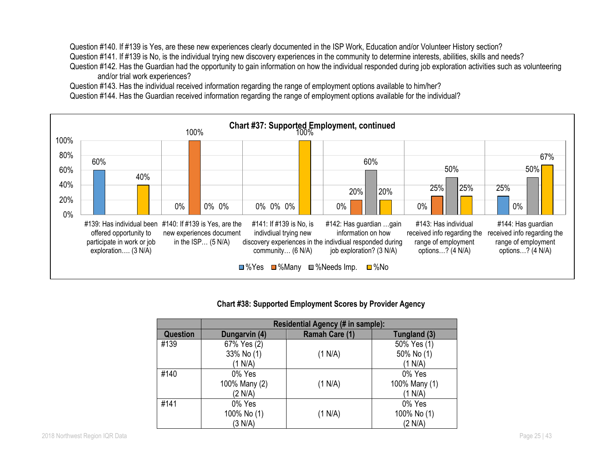Question #140. If #139 is Yes, are these new experiences clearly documented in the ISP Work, Education and/or Volunteer History section? Question #141. If #139 is No, is the individual trying new discovery experiences in the community to determine interests, abilities, skills and needs? Question #142. Has the Guardian had the opportunity to gain information on how the individual responded during job exploration activities such as volunteering and/or trial work experiences?

Question #143. Has the individual received information regarding the range of employment options available to him/her?

Question #144. Has the Guardian received information regarding the range of employment options available for the individual?



#### **Chart #38: Supported Employment Scores by Provider Agency**

|                 | Residential Agency (# in sample): |                |               |  |  |
|-----------------|-----------------------------------|----------------|---------------|--|--|
| <b>Question</b> | Dungarvin (4)                     | Ramah Care (1) | Tungland (3)  |  |  |
| #139            | 67% Yes (2)                       |                | 50% Yes (1)   |  |  |
|                 | 33% No (1)                        | (1 N/A)        | 50% No (1)    |  |  |
|                 | (1 N/A)                           |                | (1 N/A)       |  |  |
| #140            | 0% Yes                            |                | 0% Yes        |  |  |
|                 | 100% Many (2)                     | (1 N/A)        | 100% Many (1) |  |  |
|                 | (2 N/A)                           |                | (1 N/A)       |  |  |
| #141            | 0% Yes                            |                | 0% Yes        |  |  |
|                 | 100% No (1)                       | (1 N/A)        | 100% No (1)   |  |  |
|                 | (3 N/A)                           |                | (2 N/A)       |  |  |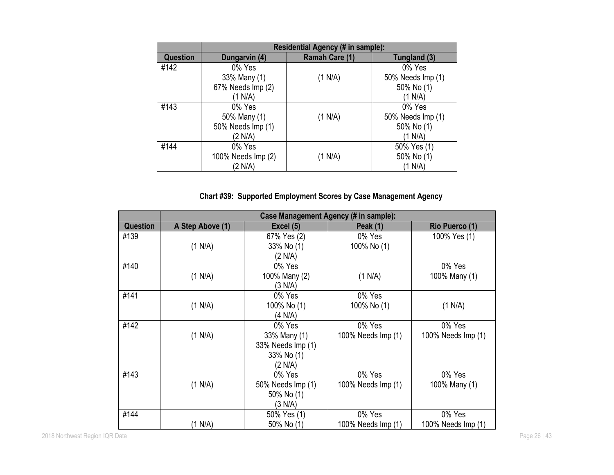|          | Residential Agency (# in sample): |                |                   |  |  |
|----------|-----------------------------------|----------------|-------------------|--|--|
| Question | Dungarvin (4)                     | Ramah Care (1) | Tungland (3)      |  |  |
| #142     | 0% Yes                            |                | 0% Yes            |  |  |
|          | 33% Many (1)                      | (1 N/A)        | 50% Needs Imp (1) |  |  |
|          | 67% Needs Imp (2)                 |                | 50% No (1)        |  |  |
|          | (1 N/A)                           |                | (1 N/A)           |  |  |
| #143     | 0% Yes                            |                | 0% Yes            |  |  |
|          | 50% Many (1)                      | (1 N/A)        | 50% Needs Imp (1) |  |  |
|          | 50% Needs Imp (1)                 |                | 50% No (1)        |  |  |
|          | (2 N/A)                           |                | (1 N/A)           |  |  |
| #144     | 0% Yes                            |                | 50% Yes (1)       |  |  |
|          | 100% Needs Imp (2)                | (1 N/A)        | 50% No (1)        |  |  |
|          | (2 N/A)                           |                | (1 N/A)           |  |  |

# **Chart #39: Supported Employment Scores by Case Management Agency**

|                 | Case Management Agency (# in sample): |                   |                    |                    |  |
|-----------------|---------------------------------------|-------------------|--------------------|--------------------|--|
| <b>Question</b> | A Step Above (1)                      | Excel (5)         | <b>Peak (1)</b>    | Rio Puerco (1)     |  |
| #139            |                                       | 67% Yes (2)       | 0% Yes             | 100% Yes (1)       |  |
|                 | (1 N/A)                               | 33% No (1)        | 100% No (1)        |                    |  |
|                 |                                       | (2 N/A)           |                    |                    |  |
| #140            |                                       | 0% Yes            |                    | 0% Yes             |  |
|                 | (1 N/A)                               | 100% Many (2)     | (1 N/A)            | 100% Many (1)      |  |
|                 |                                       | (3 N/A)           |                    |                    |  |
| #141            |                                       | 0% Yes            | 0% Yes             |                    |  |
|                 | (1 N/A)                               | 100% No (1)       | 100% No (1)        | (1 N/A)            |  |
|                 |                                       | (4 N/A)           |                    |                    |  |
| #142            |                                       | 0% Yes            | 0% Yes             | 0% Yes             |  |
|                 | (1 N/A)                               | 33% Many (1)      | 100% Needs Imp (1) | 100% Needs Imp (1) |  |
|                 |                                       | 33% Needs Imp (1) |                    |                    |  |
|                 |                                       | 33% No (1)        |                    |                    |  |
|                 |                                       | (2 N/A)           |                    |                    |  |
| #143            |                                       | 0% Yes            | 0% Yes             | 0% Yes             |  |
|                 | (1 N/A)                               | 50% Needs Imp (1) | 100% Needs Imp (1) | 100% Many (1)      |  |
|                 |                                       | 50% No (1)        |                    |                    |  |
|                 |                                       | (3 N/A)           |                    |                    |  |
| #144            |                                       | 50% Yes (1)       | 0% Yes             | 0% Yes             |  |
|                 | (1 N/A)                               | 50% No (1)        | 100% Needs Imp (1) | 100% Needs Imp (1) |  |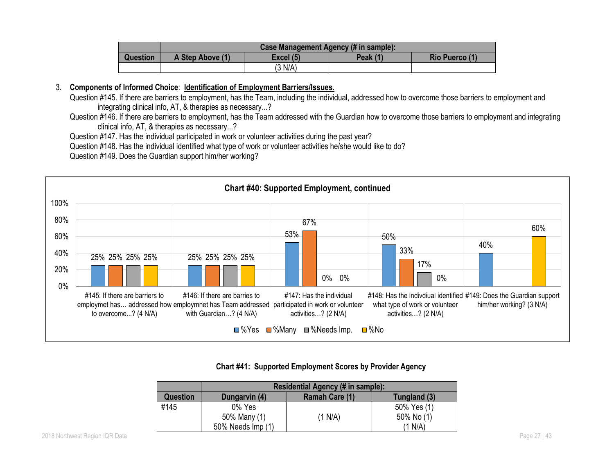|          | Case Management Agency (# in sample): |           |          |                |
|----------|---------------------------------------|-----------|----------|----------------|
| Question | A Step Above (1)                      | Excel (5) | Peak (1) | Rio Puerco (1) |
|          |                                       | (3 N/A)   |          |                |

#### 3. **Components of Informed Choice**: **Identification of Employment Barriers/Issues.**

- Question #145. If there are barriers to employment, has the Team, including the individual, addressed how to overcome those barriers to employment and integrating clinical info, AT, & therapies as necessary...?
- Question #146. If there are barriers to employment, has the Team addressed with the Guardian how to overcome those barriers to employment and integrating clinical info, AT, & therapies as necessary...?

Question #147. Has the individual participated in work or volunteer activities during the past year?

Question #148. Has the individual identified what type of work or volunteer activities he/she would like to do?

Question #149. Does the Guardian support him/her working?



#### **Chart #41: Supported Employment Scores by Provider Agency**

|          | Residential Agency (# in sample): |                |              |  |  |
|----------|-----------------------------------|----------------|--------------|--|--|
| Question | Dungarvin (4)                     | Ramah Care (1) | Tungland (3) |  |  |
| #145     | 0% Yes                            |                | 50% Yes (1)  |  |  |
|          | 50% Many (1)                      | (1 N/A)        | 50% No (1)   |  |  |
|          | 50% Needs Imp (1)                 |                | (1 N/A)      |  |  |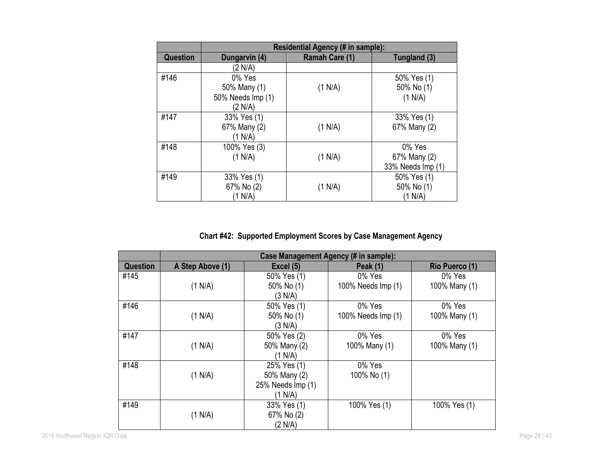|                 | Residential Agency (# in sample): |                |                   |  |  |
|-----------------|-----------------------------------|----------------|-------------------|--|--|
| <b>Question</b> | Dungarvin (4)                     | Ramah Care (1) | Tungland (3)      |  |  |
|                 | (2 N/A)                           |                |                   |  |  |
| #146            | 0% Yes                            |                | 50% Yes (1)       |  |  |
|                 | 50% Many (1)                      | (1 N/A)        | 50% No (1)        |  |  |
|                 | 50% Needs Imp (1)                 |                | (1 N/A)           |  |  |
|                 | (2 N/A)                           |                |                   |  |  |
| #147            | 33% Yes (1)                       |                | 33% Yes (1)       |  |  |
|                 | 67% Many (2)                      | (1 N/A)        | 67% Many (2)      |  |  |
|                 | (1 N/A)                           |                |                   |  |  |
| #148            | 100% Yes (3)                      |                | 0% Yes            |  |  |
|                 | (1 N/A)                           | (1 N/A)        | 67% Many (2)      |  |  |
|                 |                                   |                | 33% Needs Imp (1) |  |  |
| #149            | 33% Yes (1)                       |                | 50% Yes (1)       |  |  |
|                 | 67% No (2)                        | (1 N/A)        | 50% No (1)        |  |  |
|                 | (1 N/A)                           |                | (1 N/A)           |  |  |

**Chart #42: Supported Employment Scores by Case Management Agency**

|                 | Case Management Agency (# in sample): |                   |                    |                |  |
|-----------------|---------------------------------------|-------------------|--------------------|----------------|--|
| <b>Question</b> | A Step Above (1)                      | Excel (5)         | <b>Peak (1)</b>    | Rio Puerco (1) |  |
| #145            |                                       | 50% Yes (1)       | 0% Yes             | 0% Yes         |  |
|                 | (1 N/A)                               | 50% No (1)        | 100% Needs Imp (1) | 100% Many (1)  |  |
|                 |                                       | (3 N/A)           |                    |                |  |
| #146            |                                       | 50% Yes (1)       | 0% Yes             | 0% Yes         |  |
|                 | (1 N/A)                               | 50% No (1)        | 100% Needs Imp (1) | 100% Many (1)  |  |
|                 |                                       | (3 N/A)           |                    |                |  |
| #147            |                                       | 50% Yes (2)       | 0% Yes             | 0% Yes         |  |
|                 | (1 N/A)                               | 50% Many (2)      | 100% Many (1)      | 100% Many (1)  |  |
|                 |                                       | (1 N/A)           |                    |                |  |
| #148            |                                       | 25% Yes (1)       | 0% Yes             |                |  |
|                 | (1 N/A)                               | 50% Many (2)      | 100% No (1)        |                |  |
|                 |                                       | 25% Needs Imp (1) |                    |                |  |
|                 |                                       | (1 N/A)           |                    |                |  |
| #149            |                                       | 33% Yes (1)       | 100% Yes (1)       | 100% Yes (1)   |  |
|                 | (1 N/A)                               | 67% No (2)        |                    |                |  |
|                 |                                       | (2 N/A)           |                    |                |  |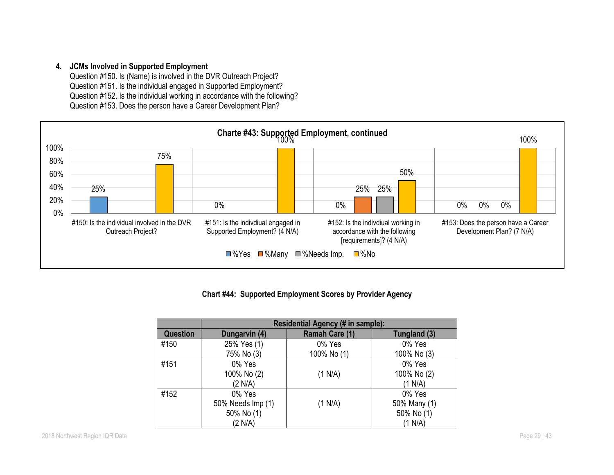## **4. JCMs Involved in Supported Employment**

Question #150. Is (Name) is involved in the DVR Outreach Project? Question #151. Is the individual engaged in Supported Employment? Question #152. Is the individual working in accordance with the following? Question #153. Does the person have a Career Development Plan?



## **Chart #44: Supported Employment Scores by Provider Agency**

|                 |                   | Residential Agency (# in sample): |              |
|-----------------|-------------------|-----------------------------------|--------------|
| <b>Question</b> | Dungarvin (4)     | Ramah Care (1)                    | Tungland (3) |
| #150            | 25% Yes (1)       | 0% Yes                            | 0% Yes       |
|                 | 75% No (3)        | 100% No (1)                       | 100% No (3)  |
| #151            | 0% Yes            |                                   | 0% Yes       |
|                 | 100% No (2)       | (1 N/A)                           | 100% No (2)  |
|                 | (2 N/A)           |                                   | (1 N/A)      |
| #152            | 0% Yes            |                                   | 0% Yes       |
|                 | 50% Needs Imp (1) | (1 N/A)                           | 50% Many (1) |
|                 | 50% No (1)        |                                   | 50% No (1)   |
|                 | (2 N/A)           |                                   | (1 N/A)      |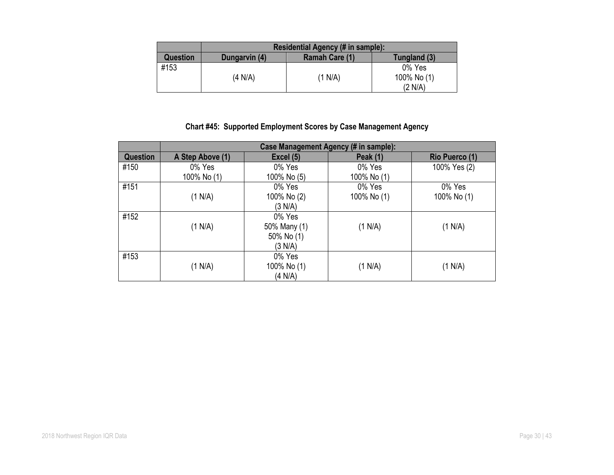|          |               | Residential Agency (# in sample): |              |
|----------|---------------|-----------------------------------|--------------|
| Question | Dungarvin (4) | <b>Ramah Care (1)</b>             | Tungland (3) |
| #153     |               |                                   | 0% Yes       |
|          | (4 N/A)       | (1 N/A)                           | 100% No (1)  |
|          |               |                                   | (2 N/A)      |

# **Chart #45: Supported Employment Scores by Case Management Agency**

|                 | Case Management Agency (# in sample): |              |                 |                |
|-----------------|---------------------------------------|--------------|-----------------|----------------|
| <b>Question</b> | A Step Above (1)                      | Excel (5)    | <b>Peak (1)</b> | Rio Puerco (1) |
| #150            | 0% Yes                                | 0% Yes       | 0% Yes          | 100% Yes (2)   |
|                 | 100% No (1)                           | 100% No (5)  | 100% No (1)     |                |
| #151            |                                       | 0% Yes       | 0% Yes          | 0% Yes         |
|                 | (1 N/A)                               | 100% No (2)  | 100% No (1)     | 100% No (1)    |
|                 |                                       | (3 N/A)      |                 |                |
| #152            |                                       | 0% Yes       |                 |                |
|                 | (1 N/A)                               | 50% Many (1) | (1 N/A)         | (1 N/A)        |
|                 |                                       | 50% No (1)   |                 |                |
|                 |                                       | (3 N/A)      |                 |                |
| #153            |                                       | 0% Yes       |                 |                |
|                 | (1 N/A)                               | 100% No (1)  | (1 N/A)         | (1 N/A)        |
|                 |                                       | (4 N/A)      |                 |                |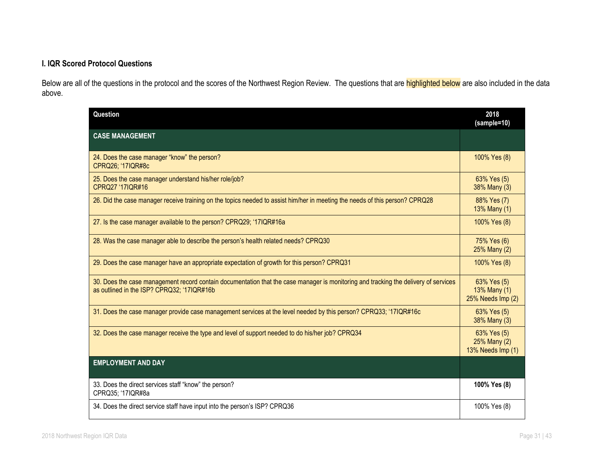# **I. IQR Scored Protocol Questions**

Below are all of the questions in the protocol and the scores of the Northwest Region Review. The questions that are **highlighted below** are also included in the data above.

| Question                                                                                                                                                                          | 2018<br>(sample=10)                              |
|-----------------------------------------------------------------------------------------------------------------------------------------------------------------------------------|--------------------------------------------------|
| <b>CASE MANAGEMENT</b>                                                                                                                                                            |                                                  |
| 24. Does the case manager "know" the person?<br>CPRQ26; '17IQR#8c                                                                                                                 | 100% Yes (8)                                     |
| 25. Does the case manager understand his/her role/job?<br>CPRQ27 '17IQR#16                                                                                                        | 63% Yes (5)<br>38% Many (3)                      |
| 26. Did the case manager receive training on the topics needed to assist him/her in meeting the needs of this person? CPRQ28                                                      | 88% Yes (7)<br>13% Many (1)                      |
| 27. Is the case manager available to the person? CPRQ29; '17IQR#16a                                                                                                               | 100% Yes (8)                                     |
| 28. Was the case manager able to describe the person's health related needs? CPRQ30                                                                                               | 75% Yes (6)<br>25% Many (2)                      |
| 29. Does the case manager have an appropriate expectation of growth for this person? CPRQ31                                                                                       | 100% Yes (8)                                     |
| 30. Does the case management record contain documentation that the case manager is monitoring and tracking the delivery of services<br>as outlined in the ISP? CPRQ32; '17IQR#16b | 63% Yes (5)<br>13% Many (1)<br>25% Needs Imp (2) |
| 31. Does the case manager provide case management services at the level needed by this person? CPRQ33; '17IQR#16c                                                                 | 63% Yes (5)<br>38% Many (3)                      |
| 32. Does the case manager receive the type and level of support needed to do his/her job? CPRQ34                                                                                  | 63% Yes (5)<br>25% Many (2)<br>13% Needs Imp (1) |
| <b>EMPLOYMENT AND DAY</b>                                                                                                                                                         |                                                  |
| 33. Does the direct services staff "know" the person?<br>CPRQ35; '17IQR#8a                                                                                                        | 100% Yes (8)                                     |
| 34. Does the direct service staff have input into the person's ISP? CPRQ36                                                                                                        | 100% Yes (8)                                     |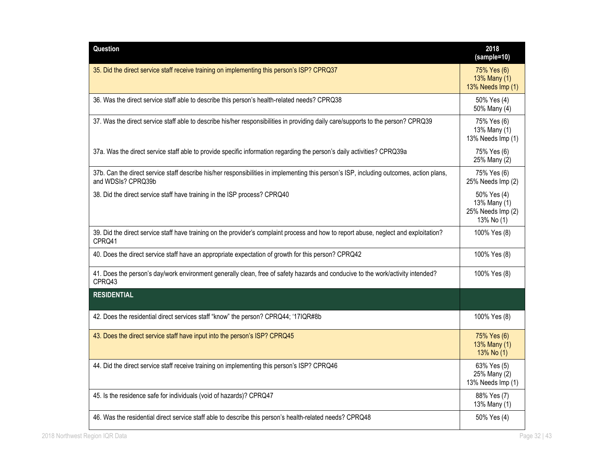| Question                                                                                                                                                       | 2018<br>(sample=10)                                            |
|----------------------------------------------------------------------------------------------------------------------------------------------------------------|----------------------------------------------------------------|
| 35. Did the direct service staff receive training on implementing this person's ISP? CPRQ37                                                                    | 75% Yes (6)<br>13% Many (1)<br>13% Needs Imp (1)               |
| 36. Was the direct service staff able to describe this person's health-related needs? CPRQ38                                                                   | 50% Yes (4)<br>50% Many (4)                                    |
| 37. Was the direct service staff able to describe his/her responsibilities in providing daily care/supports to the person? CPRQ39                              | 75% Yes (6)<br>13% Many (1)<br>13% Needs Imp (1)               |
| 37a. Was the direct service staff able to provide specific information regarding the person's daily activities? CPRQ39a                                        | 75% Yes (6)<br>25% Many (2)                                    |
| 37b. Can the direct service staff describe his/her responsibilities in implementing this person's ISP, including outcomes, action plans,<br>and WDSIs? CPRQ39b | 75% Yes (6)<br>25% Needs Imp (2)                               |
| 38. Did the direct service staff have training in the ISP process? CPRQ40                                                                                      | 50% Yes (4)<br>13% Many (1)<br>25% Needs Imp (2)<br>13% No (1) |
| 39. Did the direct service staff have training on the provider's complaint process and how to report abuse, neglect and exploitation?<br>CPRQ41                | 100% Yes (8)                                                   |
| 40. Does the direct service staff have an appropriate expectation of growth for this person? CPRQ42                                                            | 100% Yes (8)                                                   |
| 41. Does the person's day/work environment generally clean, free of safety hazards and conducive to the work/activity intended?<br>CPRQ43                      | 100% Yes (8)                                                   |
| <b>RESIDENTIAL</b>                                                                                                                                             |                                                                |
| 42. Does the residential direct services staff "know" the person? CPRQ44; '17IQR#8b                                                                            | 100% Yes (8)                                                   |
| 43. Does the direct service staff have input into the person's ISP? CPRQ45                                                                                     | 75% Yes (6)<br>13% Many (1)<br>$13%$ No $(1)$                  |
| 44. Did the direct service staff receive training on implementing this person's ISP? CPRQ46                                                                    | 63% Yes (5)<br>25% Many (2)<br>13% Needs Imp (1)               |
| 45. Is the residence safe for individuals (void of hazards)? CPRQ47                                                                                            | 88% Yes (7)<br>13% Many (1)                                    |
| 46. Was the residential direct service staff able to describe this person's health-related needs? CPRQ48                                                       | 50% Yes (4)                                                    |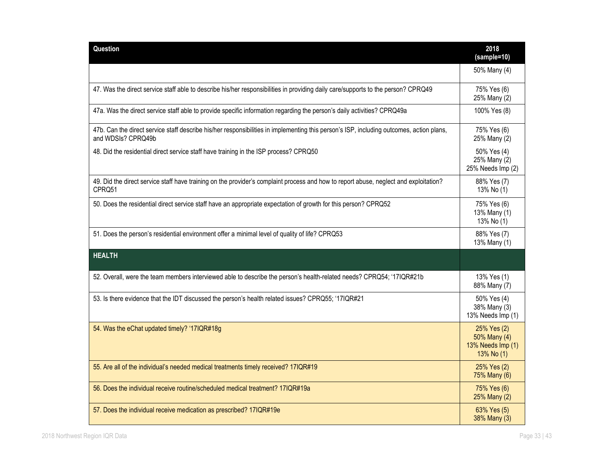| Question                                                                                                                                                       | 2018<br>(sample=10)                                            |
|----------------------------------------------------------------------------------------------------------------------------------------------------------------|----------------------------------------------------------------|
|                                                                                                                                                                | 50% Many (4)                                                   |
| 47. Was the direct service staff able to describe his/her responsibilities in providing daily care/supports to the person? CPRQ49                              | 75% Yes (6)<br>25% Many (2)                                    |
| 47a. Was the direct service staff able to provide specific information regarding the person's daily activities? CPRQ49a                                        | 100% Yes (8)                                                   |
| 47b. Can the direct service staff describe his/her responsibilities in implementing this person's ISP, including outcomes, action plans,<br>and WDSIs? CPRQ49b | 75% Yes (6)<br>25% Many (2)                                    |
| 48. Did the residential direct service staff have training in the ISP process? CPRQ50                                                                          | 50% Yes (4)<br>25% Many (2)<br>25% Needs Imp (2)               |
| 49. Did the direct service staff have training on the provider's complaint process and how to report abuse, neglect and exploitation?<br>CPRQ51                | 88% Yes (7)<br>13% No (1)                                      |
| 50. Does the residential direct service staff have an appropriate expectation of growth for this person? CPRQ52                                                | 75% Yes (6)<br>13% Many (1)<br>13% No (1)                      |
| 51. Does the person's residential environment offer a minimal level of quality of life? CPRQ53                                                                 | 88% Yes (7)<br>13% Many (1)                                    |
| <b>HEALTH</b>                                                                                                                                                  |                                                                |
| 52. Overall, were the team members interviewed able to describe the person's health-related needs? CPRQ54; '17IQR#21b                                          | 13% Yes (1)<br>88% Many (7)                                    |
| 53. Is there evidence that the IDT discussed the person's health related issues? CPRQ55; '17IQR#21                                                             | 50% Yes (4)<br>38% Many (3)<br>13% Needs Imp (1)               |
| 54. Was the eChat updated timely? '17IQR#18g                                                                                                                   | 25% Yes (2)<br>50% Many (4)<br>13% Needs Imp (1)<br>13% No (1) |
| 55. Are all of the individual's needed medical treatments timely received? 17IQR#19                                                                            | 25% Yes (2)<br>75% Many (6)                                    |
| 56. Does the individual receive routine/scheduled medical treatment? 17IQR#19a                                                                                 | 75% Yes (6)<br>25% Many (2)                                    |
| 57. Does the individual receive medication as prescribed? 17IQR#19e                                                                                            | 63% Yes (5)<br>38% Many (3)                                    |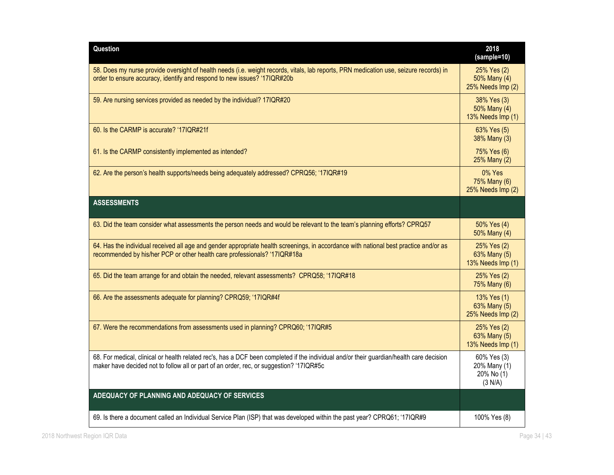| Question                                                                                                                                                                                                                            | 2018<br>(sample=10)                                  |
|-------------------------------------------------------------------------------------------------------------------------------------------------------------------------------------------------------------------------------------|------------------------------------------------------|
| 58. Does my nurse provide oversight of health needs (i.e. weight records, vitals, lab reports, PRN medication use, seizure records) in<br>order to ensure accuracy, identify and respond to new issues? '17IQR#20b                  | 25% Yes (2)<br>50% Many (4)<br>25% Needs Imp (2)     |
| 59. Are nursing services provided as needed by the individual? 17IQR#20                                                                                                                                                             | 38% Yes (3)<br>50% Many (4)<br>13% Needs Imp (1)     |
| 60. Is the CARMP is accurate? '17IQR#21f                                                                                                                                                                                            | 63% Yes (5)<br>38% Many (3)                          |
| 61. Is the CARMP consistently implemented as intended?                                                                                                                                                                              | 75% Yes (6)<br>25% Many (2)                          |
| 62. Are the person's health supports/needs being adequately addressed? CPRQ56; '17IQR#19                                                                                                                                            | 0% Yes<br>75% Many (6)<br>25% Needs Imp (2)          |
| <b>ASSESSMENTS</b>                                                                                                                                                                                                                  |                                                      |
| 63. Did the team consider what assessments the person needs and would be relevant to the team's planning efforts? CPRQ57                                                                                                            | 50% Yes (4)<br>50% Many (4)                          |
| 64. Has the individual received all age and gender appropriate health screenings, in accordance with national best practice and/or as<br>recommended by his/her PCP or other health care professionals? '17IQR#18a                  | 25% Yes (2)<br>63% Many (5)<br>13% Needs Imp (1)     |
| 65. Did the team arrange for and obtain the needed, relevant assessments? CPRQ58; '17IQR#18                                                                                                                                         | 25% Yes (2)<br>75% Many (6)                          |
| 66. Are the assessments adequate for planning? CPRQ59; '17IQR#4f                                                                                                                                                                    | 13% Yes (1)<br>63% Many (5)<br>25% Needs Imp (2)     |
| 67. Were the recommendations from assessments used in planning? CPRQ60; '17IQR#5                                                                                                                                                    | 25% Yes (2)<br>63% Many (5)<br>13% Needs Imp (1)     |
| 68. For medical, clinical or health related rec's, has a DCF been completed if the individual and/or their guardian/health care decision<br>maker have decided not to follow all or part of an order, rec, or suggestion? '17IQR#5c | 60% Yes (3)<br>20% Many (1)<br>20% No (1)<br>(3 N/A) |
| ADEQUACY OF PLANNING AND ADEQUACY OF SERVICES                                                                                                                                                                                       |                                                      |
| 69. Is there a document called an Individual Service Plan (ISP) that was developed within the past year? CPRQ61; '17IQR#9                                                                                                           | 100% Yes (8)                                         |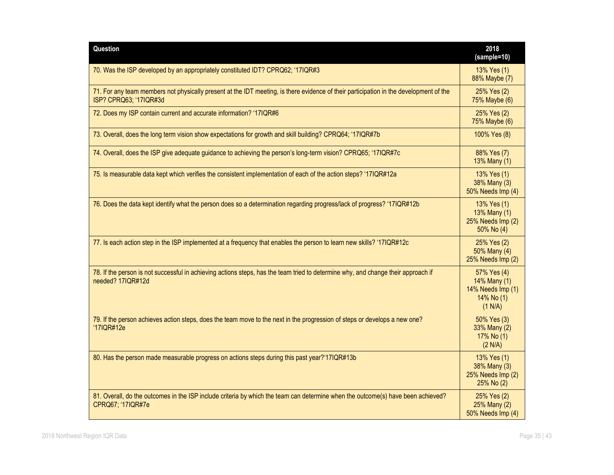| Question                                                                                                                                                         | 2018<br>(sample=10)                                                       |
|------------------------------------------------------------------------------------------------------------------------------------------------------------------|---------------------------------------------------------------------------|
| 70. Was the ISP developed by an appropriately constituted IDT? CPRQ62; '17IQR#3                                                                                  | 13% Yes (1)<br>88% Maybe (7)                                              |
| 71. For any team members not physically present at the IDT meeting, is there evidence of their participation in the development of the<br>ISP? CPRQ63; '17IQR#3d | 25% Yes (2)<br>75% Maybe (6)                                              |
| 72. Does my ISP contain current and accurate information? '17IQR#6                                                                                               | 25% Yes (2)<br>75% Maybe (6)                                              |
| 73. Overall, does the long term vision show expectations for growth and skill building? CPRQ64; '17IQR#7b                                                        | 100% Yes (8)                                                              |
| 74. Overall, does the ISP give adequate guidance to achieving the person's long-term vision? CPRQ65; '17IQR#7c                                                   | 88% Yes (7)<br>13% Many (1)                                               |
| 75. Is measurable data kept which verifies the consistent implementation of each of the action steps? '17IQR#12a                                                 | 13% Yes (1)<br>38% Many (3)<br>50% Needs Imp (4)                          |
| 76. Does the data kept identify what the person does so a determination regarding progress/lack of progress? '17IQR#12b                                          | 13% Yes (1)<br>13% Many (1)<br>25% Needs Imp (2)<br>50% No (4)            |
| 77. Is each action step in the ISP implemented at a frequency that enables the person to learn new skills? '17IQR#12c                                            | 25% Yes (2)<br>50% Many (4)<br>25% Needs Imp (2)                          |
| 78. If the person is not successful in achieving actions steps, has the team tried to determine why, and change their approach if<br>needed? 17IQR#12d           | 57% Yes (4)<br>14% Many (1)<br>14% Needs Imp (1)<br>14% No (1)<br>(1 N/A) |
| 79. If the person achieves action steps, does the team move to the next in the progression of steps or develops a new one?<br>'17IQR#12e                         | 50% Yes (3)<br>33% Many (2)<br>17% No (1)<br>(2 N/A)                      |
| 80. Has the person made measurable progress on actions steps during this past year?'17IQR#13b                                                                    | 13% Yes (1)<br>38% Many (3)<br>25% Needs Imp (2)<br>25% No (2)            |
| 81. Overall, do the outcomes in the ISP include criteria by which the team can determine when the outcome(s) have been achieved?<br>CPRQ67; '17IQR#7e            | 25% Yes (2)<br>25% Many (2)<br>50% Needs Imp (4)                          |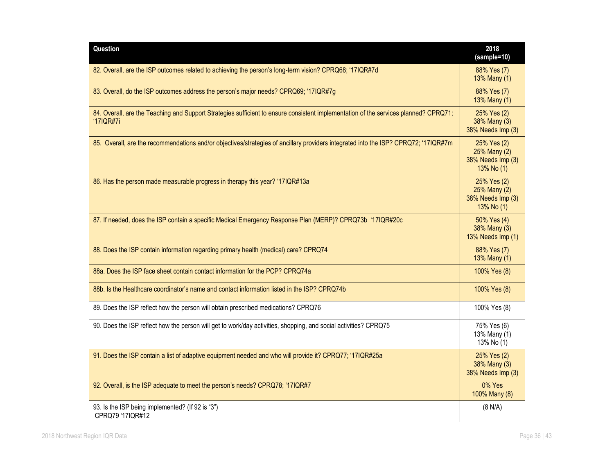| Question                                                                                                                                          | 2018<br>(sample=10)                                            |
|---------------------------------------------------------------------------------------------------------------------------------------------------|----------------------------------------------------------------|
| 82. Overall, are the ISP outcomes related to achieving the person's long-term vision? CPRQ68; '17IQR#7d                                           | 88% Yes (7)<br>13% Many (1)                                    |
| 83. Overall, do the ISP outcomes address the person's major needs? CPRQ69; '17IQR#7g                                                              | 88% Yes (7)<br>13% Many (1)                                    |
| 84. Overall, are the Teaching and Support Strategies sufficient to ensure consistent implementation of the services planned? CPRQ71;<br>'17IQR#7i | 25% Yes (2)<br>38% Many (3)<br>38% Needs Imp (3)               |
| 85. Overall, are the recommendations and/or objectives/strategies of ancillary providers integrated into the ISP? CPRQ72; '17IQR#7m               | 25% Yes (2)<br>25% Many (2)<br>38% Needs Imp (3)<br>13% No (1) |
| 86. Has the person made measurable progress in therapy this year? '17IQR#13a                                                                      | 25% Yes (2)<br>25% Many (2)<br>38% Needs Imp (3)<br>13% No (1) |
| 87. If needed, does the ISP contain a specific Medical Emergency Response Plan (MERP)? CPRQ73b '17IQR#20c                                         | 50% Yes (4)<br>38% Many (3)<br>13% Needs Imp (1)               |
| 88. Does the ISP contain information regarding primary health (medical) care? CPRQ74                                                              | 88% Yes (7)<br>13% Many (1)                                    |
| 88a. Does the ISP face sheet contain contact information for the PCP? CPRQ74a                                                                     | 100% Yes (8)                                                   |
| 88b. Is the Healthcare coordinator's name and contact information listed in the ISP? CPRQ74b                                                      | 100% Yes (8)                                                   |
| 89. Does the ISP reflect how the person will obtain prescribed medications? CPRQ76                                                                | 100% Yes (8)                                                   |
| 90. Does the ISP reflect how the person will get to work/day activities, shopping, and social activities? CPRQ75                                  | 75% Yes (6)<br>13% Many (1)<br>13% No (1)                      |
| 91. Does the ISP contain a list of adaptive equipment needed and who will provide it? CPRQ77; '17IQR#25a                                          | 25% Yes (2)<br>38% Many (3)<br>38% Needs Imp (3)               |
| 92. Overall, is the ISP adequate to meet the person's needs? CPRQ78; '17IQR#7                                                                     | 0% Yes<br>100% Many (8)                                        |
| 93. Is the ISP being implemented? (If 92 is "3")<br>CPRQ79 '17IQR#12                                                                              | (8 N/A)                                                        |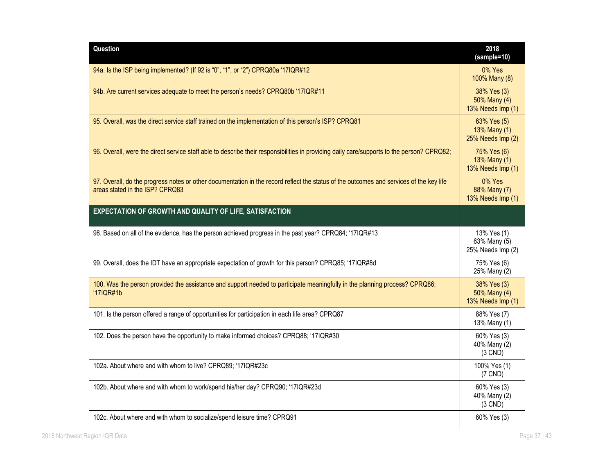| Question                                                                                                                                                                   | 2018<br>(sample=10)                              |
|----------------------------------------------------------------------------------------------------------------------------------------------------------------------------|--------------------------------------------------|
| 94a. Is the ISP being implemented? (If 92 is "0", "1", or "2") CPRQ80a '17IQR#12                                                                                           | 0% Yes<br>100% Many (8)                          |
| 94b. Are current services adequate to meet the person's needs? CPRQ80b '17IQR#11                                                                                           | 38% Yes (3)<br>50% Many (4)<br>13% Needs Imp (1) |
| 95. Overall, was the direct service staff trained on the implementation of this person's ISP? CPRQ81                                                                       | 63% Yes (5)<br>13% Many (1)<br>25% Needs Imp (2) |
| 96. Overall, were the direct service staff able to describe their responsibilities in providing daily care/supports to the person? CPRQ82;                                 | 75% Yes (6)<br>13% Many (1)<br>13% Needs Imp (1) |
| 97. Overall, do the progress notes or other documentation in the record reflect the status of the outcomes and services of the key life<br>areas stated in the ISP? CPRQ83 | 0% Yes<br>88% Many (7)<br>13% Needs Imp (1)      |
| EXPECTATION OF GROWTH AND QUALITY OF LIFE, SATISFACTION                                                                                                                    |                                                  |
| 98. Based on all of the evidence, has the person achieved progress in the past year? CPRQ84; '17IQR#13                                                                     | 13% Yes (1)<br>63% Many (5)<br>25% Needs Imp (2) |
| 99. Overall, does the IDT have an appropriate expectation of growth for this person? CPRQ85; '17IQR#8d                                                                     | 75% Yes (6)<br>25% Many (2)                      |
| 100. Was the person provided the assistance and support needed to participate meaningfully in the planning process? CPRQ86;<br>'17IQR#1b                                   | 38% Yes (3)<br>50% Many (4)<br>13% Needs Imp (1) |
| 101. Is the person offered a range of opportunities for participation in each life area? CPRQ87                                                                            | 88% Yes (7)<br>13% Many (1)                      |
| 102. Does the person have the opportunity to make informed choices? CPRQ88; '17IQR#30                                                                                      | 60% Yes (3)<br>40% Many (2)<br>$(3$ CND)         |
| 102a. About where and with whom to live? CPRQ89; '17IQR#23c                                                                                                                | 100% Yes (1)<br>$(7$ CND)                        |
| 102b. About where and with whom to work/spend his/her day? CPRQ90; '17IQR#23d                                                                                              | 60% Yes (3)<br>40% Many (2)<br>$(3$ CND)         |
| 102c. About where and with whom to socialize/spend leisure time? CPRQ91                                                                                                    | 60% Yes (3)                                      |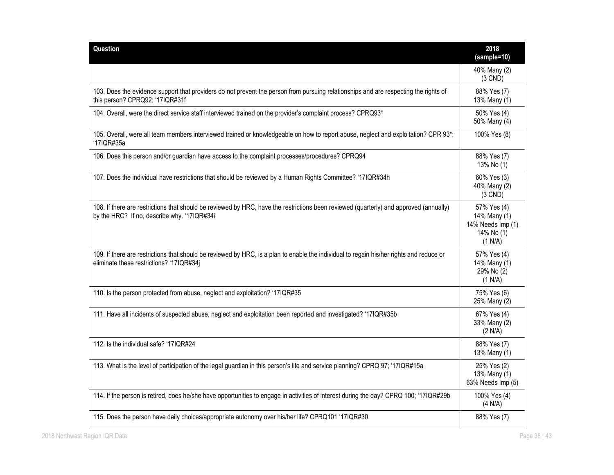| Question                                                                                                                                                                              | 2018<br>(sample=10)                                                       |
|---------------------------------------------------------------------------------------------------------------------------------------------------------------------------------------|---------------------------------------------------------------------------|
|                                                                                                                                                                                       | 40% Many (2)<br>$(3$ CND)                                                 |
| 103. Does the evidence support that providers do not prevent the person from pursuing relationships and are respecting the rights of<br>this person? CPRQ92; '17IQR#31f               | 88% Yes (7)<br>13% Many (1)                                               |
| 104. Overall, were the direct service staff interviewed trained on the provider's complaint process? CPRQ93*                                                                          | 50% Yes (4)<br>50% Many (4)                                               |
| 105. Overall, were all team members interviewed trained or knowledgeable on how to report abuse, neglect and exploitation? CPR 93*;<br>'17IQR#35a                                     | 100% Yes (8)                                                              |
| 106. Does this person and/or guardian have access to the complaint processes/procedures? CPRQ94                                                                                       | 88% Yes (7)<br>13% No (1)                                                 |
| 107. Does the individual have restrictions that should be reviewed by a Human Rights Committee? '17IQR#34h                                                                            | 60% Yes (3)<br>40% Many (2)<br>$(3$ CND)                                  |
| 108. If there are restrictions that should be reviewed by HRC, have the restrictions been reviewed (quarterly) and approved (annually)<br>by the HRC? If no, describe why. '17IQR#34i | 57% Yes (4)<br>14% Many (1)<br>14% Needs Imp (1)<br>14% No (1)<br>(1 N/A) |
| 109. If there are restrictions that should be reviewed by HRC, is a plan to enable the individual to regain his/her rights and reduce or<br>eliminate these restrictions? '17IQR#34j  | 57% Yes (4)<br>14% Many (1)<br>29% No (2)<br>(1 N/A)                      |
| 110. Is the person protected from abuse, neglect and exploitation? '17IQR#35                                                                                                          | 75% Yes (6)<br>25% Many (2)                                               |
| 111. Have all incidents of suspected abuse, neglect and exploitation been reported and investigated? '17IQR#35b                                                                       | 67% Yes (4)<br>33% Many (2)<br>(2 N/A)                                    |
| 112. Is the individual safe? '17IQR#24                                                                                                                                                | 88% Yes (7)<br>13% Many (1)                                               |
| 113. What is the level of participation of the legal guardian in this person's life and service planning? CPRQ 97; '17IQR#15a                                                         | 25% Yes (2)<br>13% Many (1)<br>63% Needs Imp (5)                          |
| 114. If the person is retired, does he/she have opportunities to engage in activities of interest during the day? CPRQ 100; '17IQR#29b                                                | 100% Yes (4)<br>(4 N/A)                                                   |
| 115. Does the person have daily choices/appropriate autonomy over his/her life? CPRQ101 '17IQR#30                                                                                     | 88% Yes (7)                                                               |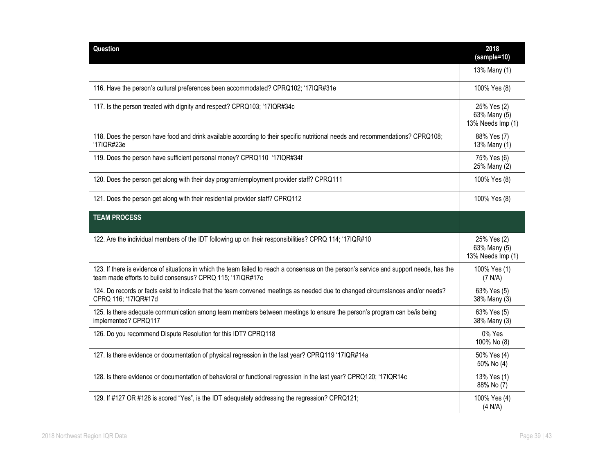| <b>Question</b>                                                                                                                                                                                        | 2018<br>(sample=10)                              |
|--------------------------------------------------------------------------------------------------------------------------------------------------------------------------------------------------------|--------------------------------------------------|
|                                                                                                                                                                                                        | 13% Many (1)                                     |
| 116. Have the person's cultural preferences been accommodated? CPRQ102; '17IQR#31e                                                                                                                     | 100% Yes (8)                                     |
| 117. Is the person treated with dignity and respect? CPRQ103; '17IQR#34c                                                                                                                               | 25% Yes (2)<br>63% Many (5)<br>13% Needs Imp (1) |
| 118. Does the person have food and drink available according to their specific nutritional needs and recommendations? CPRQ108;<br>'17IQR#23e                                                           | 88% Yes (7)<br>13% Many (1)                      |
| 119. Does the person have sufficient personal money? CPRQ110 '17IQR#34f                                                                                                                                | 75% Yes (6)<br>25% Many (2)                      |
| 120. Does the person get along with their day program/employment provider staff? CPRQ111                                                                                                               | 100% Yes (8)                                     |
| 121. Does the person get along with their residential provider staff? CPRQ112                                                                                                                          | 100% Yes (8)                                     |
| <b>TEAM PROCESS</b>                                                                                                                                                                                    |                                                  |
| 122. Are the individual members of the IDT following up on their responsibilities? CPRQ 114; '17IQR#10                                                                                                 | 25% Yes (2)<br>63% Many (5)<br>13% Needs Imp (1) |
| 123. If there is evidence of situations in which the team failed to reach a consensus on the person's service and support needs, has the<br>team made efforts to build consensus? CPRQ 115; '17IQR#17c | 100% Yes (1)<br>(7 N/A)                          |
| 124. Do records or facts exist to indicate that the team convened meetings as needed due to changed circumstances and/or needs?<br>CPRQ 116; '17IQR#17d                                                | 63% Yes (5)<br>38% Many (3)                      |
| 125. Is there adequate communication among team members between meetings to ensure the person's program can be/is being<br>implemented? CPRQ117                                                        | 63% Yes (5)<br>38% Many (3)                      |
| 126. Do you recommend Dispute Resolution for this IDT? CPRQ118                                                                                                                                         | 0% Yes<br>100% No (8)                            |
| 127. Is there evidence or documentation of physical regression in the last year? CPRQ119 '17IQR#14a                                                                                                    | 50% Yes (4)<br>50% No (4)                        |
| 128. Is there evidence or documentation of behavioral or functional regression in the last year? CPRQ120; '17IQR14c                                                                                    | 13% Yes (1)<br>88% No (7)                        |
| 129. If #127 OR #128 is scored "Yes", is the IDT adequately addressing the regression? CPRQ121;                                                                                                        | 100% Yes (4)<br>(4 N/A)                          |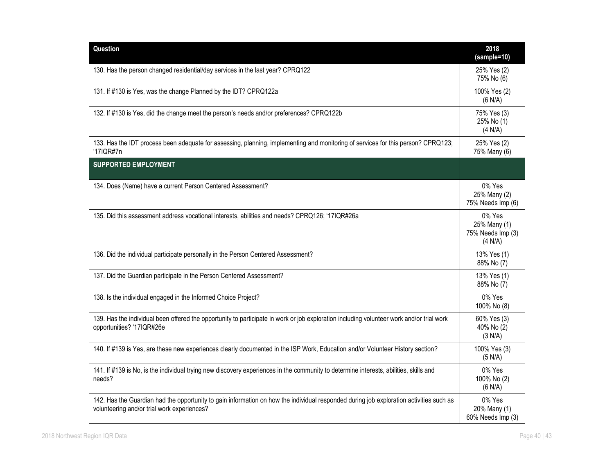| Question                                                                                                                                                                               | 2018<br>(sample=10)                                    |
|----------------------------------------------------------------------------------------------------------------------------------------------------------------------------------------|--------------------------------------------------------|
| 130. Has the person changed residential/day services in the last year? CPRQ122                                                                                                         | 25% Yes (2)<br>75% No (6)                              |
| 131. If #130 is Yes, was the change Planned by the IDT? CPRQ122a                                                                                                                       | 100% Yes (2)<br>(6 N/A)                                |
| 132. If #130 is Yes, did the change meet the person's needs and/or preferences? CPRQ122b                                                                                               | 75% Yes (3)<br>25% No (1)<br>(4 N/A)                   |
| 133. Has the IDT process been adequate for assessing, planning, implementing and monitoring of services for this person? CPRQ123;<br>'17IQR#7n                                         | 25% Yes (2)<br>75% Many (6)                            |
| <b>SUPPORTED EMPLOYMENT</b>                                                                                                                                                            |                                                        |
| 134. Does (Name) have a current Person Centered Assessment?                                                                                                                            | 0% Yes<br>25% Many (2)<br>75% Needs Imp (6)            |
| 135. Did this assessment address vocational interests, abilities and needs? CPRQ126; '17IQR#26a                                                                                        | 0% Yes<br>25% Many (1)<br>75% Needs Imp (3)<br>(4 N/A) |
| 136. Did the individual participate personally in the Person Centered Assessment?                                                                                                      | 13% Yes (1)<br>88% No (7)                              |
| 137. Did the Guardian participate in the Person Centered Assessment?                                                                                                                   | 13% Yes (1)<br>88% No (7)                              |
| 138. Is the individual engaged in the Informed Choice Project?                                                                                                                         | 0% Yes<br>100% No (8)                                  |
| 139. Has the individual been offered the opportunity to participate in work or job exploration including volunteer work and/or trial work<br>opportunities? '17IQR#26e                 | 60% Yes (3)<br>40% No (2)<br>(3 N/A)                   |
| 140. If #139 is Yes, are these new experiences clearly documented in the ISP Work, Education and/or Volunteer History section?                                                         | 100% Yes (3)<br>(5 N/A)                                |
| 141. If #139 is No, is the individual trying new discovery experiences in the community to determine interests, abilities, skills and<br>needs?                                        | 0% Yes<br>100% No (2)<br>(6 N/A)                       |
| 142. Has the Guardian had the opportunity to gain information on how the individual responded during job exploration activities such as<br>volunteering and/or trial work experiences? | 0% Yes<br>20% Many (1)<br>60% Needs Imp (3)            |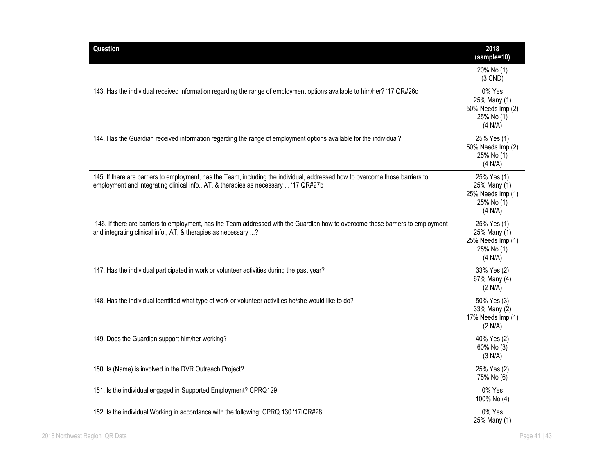| Question                                                                                                                                                                                                             | 2018<br>(sample=10)                                                       |
|----------------------------------------------------------------------------------------------------------------------------------------------------------------------------------------------------------------------|---------------------------------------------------------------------------|
|                                                                                                                                                                                                                      | 20% No (1)<br>$(3$ CND)                                                   |
| 143. Has the individual received information regarding the range of employment options available to him/her? '17IQR#26c                                                                                              | 0% Yes<br>25% Many (1)<br>50% Needs Imp (2)<br>25% No (1)<br>(4 N/A)      |
| 144. Has the Guardian received information regarding the range of employment options available for the individual?                                                                                                   | 25% Yes (1)<br>50% Needs Imp (2)<br>25% No (1)<br>(4 N/A)                 |
| 145. If there are barriers to employment, has the Team, including the individual, addressed how to overcome those barriers to<br>employment and integrating clinical info., AT, & therapies as necessary  '17IQR#27b | 25% Yes (1)<br>25% Many (1)<br>25% Needs Imp (1)<br>25% No (1)<br>(4 N/A) |
| 146. If there are barriers to employment, has the Team addressed with the Guardian how to overcome those barriers to employment<br>and integrating clinical info., AT, & therapies as necessary ?                    | 25% Yes (1)<br>25% Many (1)<br>25% Needs Imp (1)<br>25% No (1)<br>(4 N/A) |
| 147. Has the individual participated in work or volunteer activities during the past year?                                                                                                                           | 33% Yes (2)<br>67% Many (4)<br>(2 N/A)                                    |
| 148. Has the individual identified what type of work or volunteer activities he/she would like to do?                                                                                                                | 50% Yes (3)<br>33% Many (2)<br>17% Needs Imp (1)<br>(2 N/A)               |
| 149. Does the Guardian support him/her working?                                                                                                                                                                      | 40% Yes (2)<br>60% No (3)<br>(3 N/A)                                      |
| 150. Is (Name) is involved in the DVR Outreach Project?                                                                                                                                                              | 25% Yes (2)<br>75% No (6)                                                 |
| 151. Is the individual engaged in Supported Employment? CPRQ129                                                                                                                                                      | 0% Yes<br>100% No (4)                                                     |
| 152. Is the individual Working in accordance with the following: CPRQ 130 '17IQR#28                                                                                                                                  | 0% Yes<br>25% Many (1)                                                    |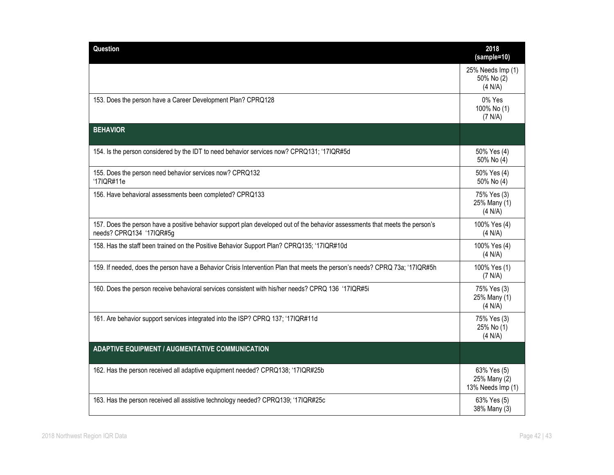| Question                                                                                                                                                 | 2018<br>(sample=10)                              |
|----------------------------------------------------------------------------------------------------------------------------------------------------------|--------------------------------------------------|
|                                                                                                                                                          | 25% Needs Imp (1)<br>50% No (2)<br>(4 N/A)       |
| 153. Does the person have a Career Development Plan? CPRQ128                                                                                             | 0% Yes<br>100% No (1)<br>(7 N/A)                 |
| <b>BEHAVIOR</b>                                                                                                                                          |                                                  |
| 154. Is the person considered by the IDT to need behavior services now? CPRQ131; '17IQR#5d                                                               | 50% Yes (4)<br>50% No (4)                        |
| 155. Does the person need behavior services now? CPRQ132<br>'17IQR#11e                                                                                   | 50% Yes (4)<br>50% No (4)                        |
| 156. Have behavioral assessments been completed? CPRQ133                                                                                                 | 75% Yes (3)<br>25% Many (1)<br>(4 N/A)           |
| 157. Does the person have a positive behavior support plan developed out of the behavior assessments that meets the person's<br>needs? CPRQ134 '17IQR#5g | 100% Yes (4)<br>(4 N/A)                          |
| 158. Has the staff been trained on the Positive Behavior Support Plan? CPRQ135; '17IQR#10d                                                               | 100% Yes (4)<br>(4 N/A)                          |
| 159. If needed, does the person have a Behavior Crisis Intervention Plan that meets the person's needs? CPRQ 73a; '17IQR#5h                              | 100% Yes (1)<br>(7 N/A)                          |
| 160. Does the person receive behavioral services consistent with his/her needs? CPRQ 136 '17IQR#5i                                                       | 75% Yes (3)<br>25% Many (1)<br>(4 N/A)           |
| 161. Are behavior support services integrated into the ISP? CPRQ 137; '17IQR#11d                                                                         | 75% Yes (3)<br>25% No (1)<br>(4 N/A)             |
| <b>ADAPTIVE EQUIPMENT / AUGMENTATIVE COMMUNICATION</b>                                                                                                   |                                                  |
| 162. Has the person received all adaptive equipment needed? CPRQ138; '17IQR#25b                                                                          | 63% Yes (5)<br>25% Many (2)<br>13% Needs Imp (1) |
| 163. Has the person received all assistive technology needed? CPRQ139; '17IQR#25c                                                                        | 63% Yes (5)<br>38% Many (3)                      |